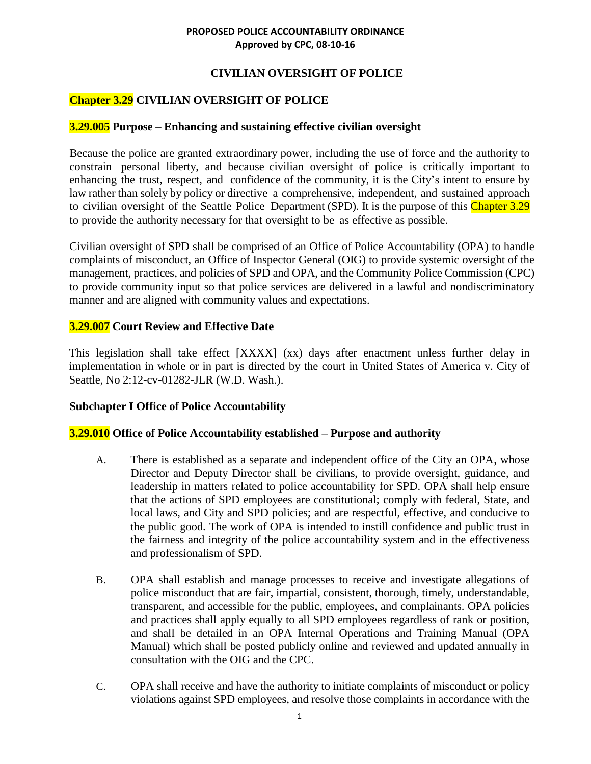## **CIVILIAN OVERSIGHT OF POLICE**

# **Chapter 3.29 CIVILIAN OVERSIGHT OF POLICE**

## **3.29.005 Purpose** – **Enhancing and sustaining effective civilian oversight**

Because the police are granted extraordinary power, including the use of force and the authority to constrain personal liberty, and because civilian oversight of police is critically important to enhancing the trust, respect, and confidence of the community, it is the City's intent to ensure by law rather than solely by policy or directive a comprehensive, independent, and sustained approach to civilian oversight of the Seattle Police Department (SPD). It is the purpose of this Chapter 3.29 to provide the authority necessary for that oversight to be as effective as possible.

Civilian oversight of SPD shall be comprised of an Office of Police Accountability (OPA) to handle complaints of misconduct, an Office of Inspector General (OIG) to provide systemic oversight of the management, practices, and policies of SPD and OPA, and the Community Police Commission (CPC) to provide community input so that police services are delivered in a lawful and nondiscriminatory manner and are aligned with community values and expectations.

## **3.29.007 Court Review and Effective Date**

This legislation shall take effect [XXXX] (xx) days after enactment unless further delay in implementation in whole or in part is directed by the court in United States of America v. City of Seattle, No 2:12-cv-01282-JLR (W.D. Wash.).

## **Subchapter I Office of Police Accountability**

## **3.29.010 Office of Police Accountability established – Purpose and authority**

- A. There is established as a separate and independent office of the City an OPA, whose Director and Deputy Director shall be civilians, to provide oversight, guidance, and leadership in matters related to police accountability for SPD. OPA shall help ensure that the actions of SPD employees are constitutional; comply with federal, State, and local laws, and City and SPD policies; and are respectful, effective, and conducive to the public good. The work of OPA is intended to instill confidence and public trust in the fairness and integrity of the police accountability system and in the effectiveness and professionalism of SPD.
- B. OPA shall establish and manage processes to receive and investigate allegations of police misconduct that are fair, impartial, consistent, thorough, timely, understandable, transparent, and accessible for the public, employees, and complainants. OPA policies and practices shall apply equally to all SPD employees regardless of rank or position, and shall be detailed in an OPA Internal Operations and Training Manual (OPA Manual) which shall be posted publicly online and reviewed and updated annually in consultation with the OIG and the CPC.
- C. OPA shall receive and have the authority to initiate complaints of misconduct or policy violations against SPD employees, and resolve those complaints in accordance with the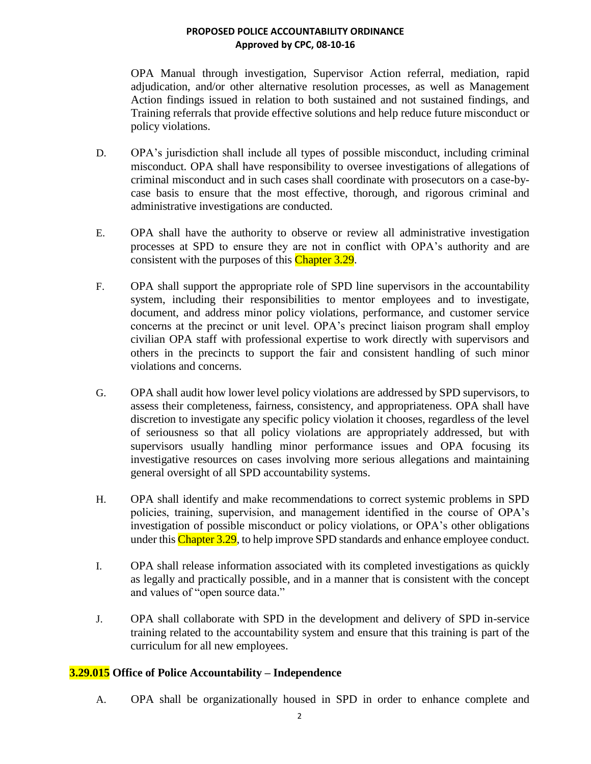OPA Manual through investigation, Supervisor Action referral, mediation, rapid adjudication, and/or other alternative resolution processes, as well as Management Action findings issued in relation to both sustained and not sustained findings, and Training referrals that provide effective solutions and help reduce future misconduct or policy violations.

- D. OPA's jurisdiction shall include all types of possible misconduct, including criminal misconduct. OPA shall have responsibility to oversee investigations of allegations of criminal misconduct and in such cases shall coordinate with prosecutors on a case-bycase basis to ensure that the most effective, thorough, and rigorous criminal and administrative investigations are conducted.
- E. OPA shall have the authority to observe or review all administrative investigation processes at SPD to ensure they are not in conflict with OPA's authority and are consistent with the purposes of this Chapter 3.29.
- F. OPA shall support the appropriate role of SPD line supervisors in the accountability system, including their responsibilities to mentor employees and to investigate, document, and address minor policy violations, performance, and customer service concerns at the precinct or unit level. OPA's precinct liaison program shall employ civilian OPA staff with professional expertise to work directly with supervisors and others in the precincts to support the fair and consistent handling of such minor violations and concerns.
- G. OPA shall audit how lower level policy violations are addressed by SPD supervisors, to assess their completeness, fairness, consistency, and appropriateness. OPA shall have discretion to investigate any specific policy violation it chooses, regardless of the level of seriousness so that all policy violations are appropriately addressed, but with supervisors usually handling minor performance issues and OPA focusing its investigative resources on cases involving more serious allegations and maintaining general oversight of all SPD accountability systems.
- H. OPA shall identify and make recommendations to correct systemic problems in SPD policies, training, supervision, and management identified in the course of OPA's investigation of possible misconduct or policy violations, or OPA's other obligations under this Chapter 3.29, to help improve SPD standards and enhance employee conduct.
- I. OPA shall release information associated with its completed investigations as quickly as legally and practically possible, and in a manner that is consistent with the concept and values of "open source data."
- J. OPA shall collaborate with SPD in the development and delivery of SPD in-service training related to the accountability system and ensure that this training is part of the curriculum for all new employees.

## **3.29.015 Office of Police Accountability – Independence**

A. OPA shall be organizationally housed in SPD in order to enhance complete and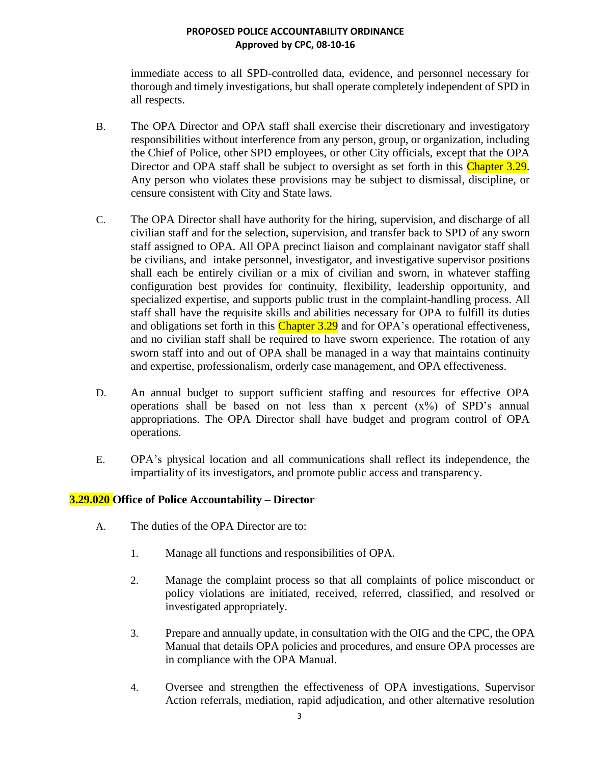immediate access to all SPD-controlled data, evidence, and personnel necessary for thorough and timely investigations, but shall operate completely independent of SPD in all respects.

- B. The OPA Director and OPA staff shall exercise their discretionary and investigatory responsibilities without interference from any person, group, or organization, including the Chief of Police, other SPD employees, or other City officials, except that the OPA Director and OPA staff shall be subject to oversight as set forth in this Chapter 3.29. Any person who violates these provisions may be subject to dismissal, discipline, or censure consistent with City and State laws.
- C. The OPA Director shall have authority for the hiring, supervision, and discharge of all civilian staff and for the selection, supervision, and transfer back to SPD of any sworn staff assigned to OPA. All OPA precinct liaison and complainant navigator staff shall be civilians, and intake personnel, investigator, and investigative supervisor positions shall each be entirely civilian or a mix of civilian and sworn, in whatever staffing configuration best provides for continuity, flexibility, leadership opportunity, and specialized expertise, and supports public trust in the complaint-handling process. All staff shall have the requisite skills and abilities necessary for OPA to fulfill its duties and obligations set forth in this Chapter 3.29 and for OPA's operational effectiveness, and no civilian staff shall be required to have sworn experience. The rotation of any sworn staff into and out of OPA shall be managed in a way that maintains continuity and expertise, professionalism, orderly case management, and OPA effectiveness.
- D. An annual budget to support sufficient staffing and resources for effective OPA operations shall be based on not less than x percent  $(x\%)$  of SPD's annual appropriations. The OPA Director shall have budget and program control of OPA operations.
- E. OPA's physical location and all communications shall reflect its independence, the impartiality of its investigators, and promote public access and transparency.

## **3.29.020 Office of Police Accountability – Director**

- A. The duties of the OPA Director are to:
	- 1. Manage all functions and responsibilities of OPA.
	- 2. Manage the complaint process so that all complaints of police misconduct or policy violations are initiated, received, referred, classified, and resolved or investigated appropriately.
	- 3. Prepare and annually update, in consultation with the OIG and the CPC, the OPA Manual that details OPA policies and procedures, and ensure OPA processes are in compliance with the OPA Manual.
	- 4. Oversee and strengthen the effectiveness of OPA investigations, Supervisor Action referrals, mediation, rapid adjudication, and other alternative resolution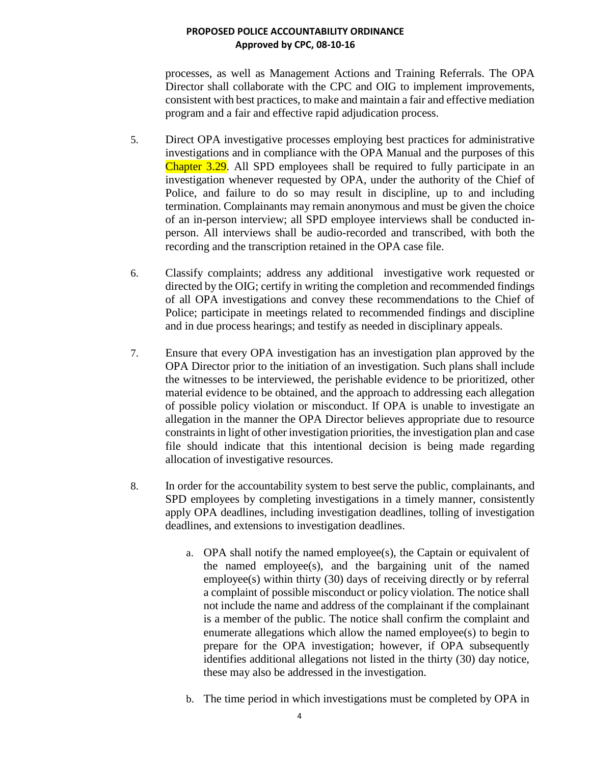processes, as well as Management Actions and Training Referrals. The OPA Director shall collaborate with the CPC and OIG to implement improvements, consistent with best practices, to make and maintain a fair and effective mediation program and a fair and effective rapid adjudication process.

- 5. Direct OPA investigative processes employing best practices for administrative investigations and in compliance with the OPA Manual and the purposes of this Chapter 3.29. All SPD employees shall be required to fully participate in an investigation whenever requested by OPA, under the authority of the Chief of Police, and failure to do so may result in discipline, up to and including termination. Complainants may remain anonymous and must be given the choice of an in-person interview; all SPD employee interviews shall be conducted inperson. All interviews shall be audio-recorded and transcribed, with both the recording and the transcription retained in the OPA case file.
- 6. Classify complaints; address any additional investigative work requested or directed by the OIG; certify in writing the completion and recommended findings of all OPA investigations and convey these recommendations to the Chief of Police; participate in meetings related to recommended findings and discipline and in due process hearings; and testify as needed in disciplinary appeals.
- 7. Ensure that every OPA investigation has an investigation plan approved by the OPA Director prior to the initiation of an investigation. Such plans shall include the witnesses to be interviewed, the perishable evidence to be prioritized, other material evidence to be obtained, and the approach to addressing each allegation of possible policy violation or misconduct. If OPA is unable to investigate an allegation in the manner the OPA Director believes appropriate due to resource constraints in light of other investigation priorities, the investigation plan and case file should indicate that this intentional decision is being made regarding allocation of investigative resources.
- 8. In order for the accountability system to best serve the public, complainants, and SPD employees by completing investigations in a timely manner, consistently apply OPA deadlines, including investigation deadlines, tolling of investigation deadlines, and extensions to investigation deadlines.
	- a. OPA shall notify the named employee(s), the Captain or equivalent of the named employee(s), and the bargaining unit of the named employee(s) within thirty (30) days of receiving directly or by referral a complaint of possible misconduct or policy violation. The notice shall not include the name and address of the complainant if the complainant is a member of the public. The notice shall confirm the complaint and enumerate allegations which allow the named employee(s) to begin to prepare for the OPA investigation; however, if OPA subsequently identifies additional allegations not listed in the thirty (30) day notice, these may also be addressed in the investigation.
	- b. The time period in which investigations must be completed by OPA in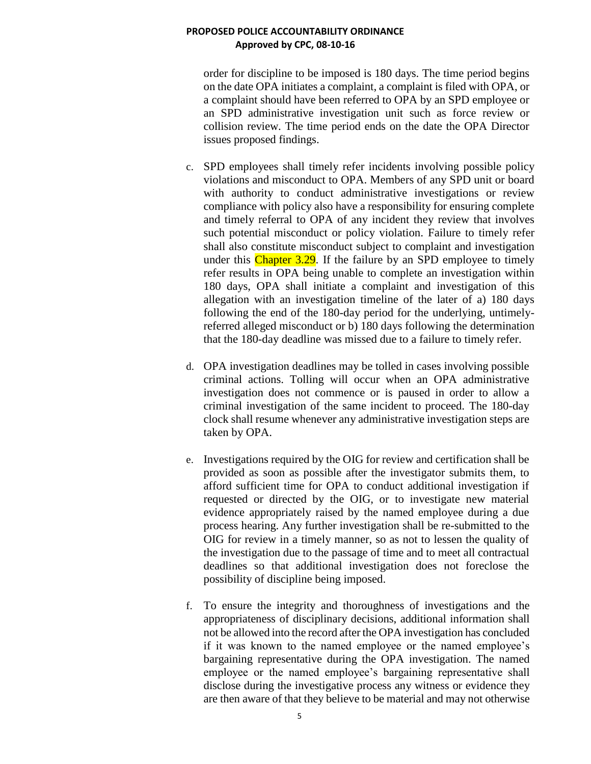order for discipline to be imposed is 180 days. The time period begins on the date OPA initiates a complaint, a complaint is filed with OPA, or a complaint should have been referred to OPA by an SPD employee or an SPD administrative investigation unit such as force review or collision review. The time period ends on the date the OPA Director issues proposed findings.

- c. SPD employees shall timely refer incidents involving possible policy violations and misconduct to OPA. Members of any SPD unit or board with authority to conduct administrative investigations or review compliance with policy also have a responsibility for ensuring complete and timely referral to OPA of any incident they review that involves such potential misconduct or policy violation. Failure to timely refer shall also constitute misconduct subject to complaint and investigation under this Chapter 3.29. If the failure by an SPD employee to timely refer results in OPA being unable to complete an investigation within 180 days, OPA shall initiate a complaint and investigation of this allegation with an investigation timeline of the later of a) 180 days following the end of the 180-day period for the underlying, untimelyreferred alleged misconduct or b) 180 days following the determination that the 180-day deadline was missed due to a failure to timely refer.
- d. OPA investigation deadlines may be tolled in cases involving possible criminal actions. Tolling will occur when an OPA administrative investigation does not commence or is paused in order to allow a criminal investigation of the same incident to proceed. The 180-day clock shall resume whenever any administrative investigation steps are taken by OPA.
- e. Investigations required by the OIG for review and certification shall be provided as soon as possible after the investigator submits them, to afford sufficient time for OPA to conduct additional investigation if requested or directed by the OIG, or to investigate new material evidence appropriately raised by the named employee during a due process hearing. Any further investigation shall be re-submitted to the OIG for review in a timely manner, so as not to lessen the quality of the investigation due to the passage of time and to meet all contractual deadlines so that additional investigation does not foreclose the possibility of discipline being imposed.
- f. To ensure the integrity and thoroughness of investigations and the appropriateness of disciplinary decisions, additional information shall not be allowed into the record after the OPA investigation has concluded if it was known to the named employee or the named employee's bargaining representative during the OPA investigation. The named employee or the named employee's bargaining representative shall disclose during the investigative process any witness or evidence they are then aware of that they believe to be material and may not otherwise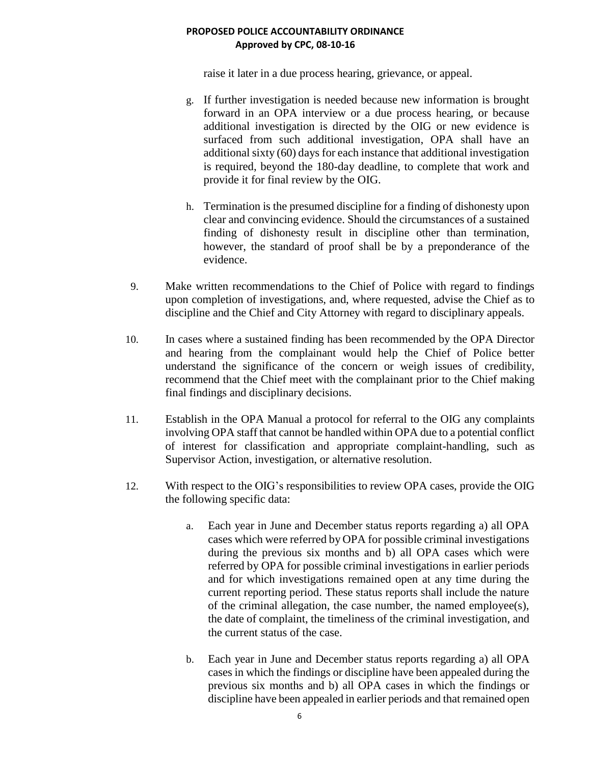raise it later in a due process hearing, grievance, or appeal.

- g. If further investigation is needed because new information is brought forward in an OPA interview or a due process hearing, or because additional investigation is directed by the OIG or new evidence is surfaced from such additional investigation, OPA shall have an additional sixty (60) days for each instance that additional investigation is required, beyond the 180-day deadline, to complete that work and provide it for final review by the OIG.
- h. Termination is the presumed discipline for a finding of dishonesty upon clear and convincing evidence. Should the circumstances of a sustained finding of dishonesty result in discipline other than termination, however, the standard of proof shall be by a preponderance of the evidence.
- 9. Make written recommendations to the Chief of Police with regard to findings upon completion of investigations, and, where requested, advise the Chief as to discipline and the Chief and City Attorney with regard to disciplinary appeals.
- 10. In cases where a sustained finding has been recommended by the OPA Director and hearing from the complainant would help the Chief of Police better understand the significance of the concern or weigh issues of credibility, recommend that the Chief meet with the complainant prior to the Chief making final findings and disciplinary decisions.
- 11. Establish in the OPA Manual a protocol for referral to the OIG any complaints involving OPA staff that cannot be handled within OPA due to a potential conflict of interest for classification and appropriate complaint-handling, such as Supervisor Action, investigation, or alternative resolution.
- 12. With respect to the OIG's responsibilities to review OPA cases, provide the OIG the following specific data:
	- a. Each year in June and December status reports regarding a) all OPA cases which were referred by OPA for possible criminal investigations during the previous six months and b) all OPA cases which were referred by OPA for possible criminal investigations in earlier periods and for which investigations remained open at any time during the current reporting period. These status reports shall include the nature of the criminal allegation, the case number, the named employee(s), the date of complaint, the timeliness of the criminal investigation, and the current status of the case.
	- b. Each year in June and December status reports regarding a) all OPA cases in which the findings or discipline have been appealed during the previous six months and b) all OPA cases in which the findings or discipline have been appealed in earlier periods and that remained open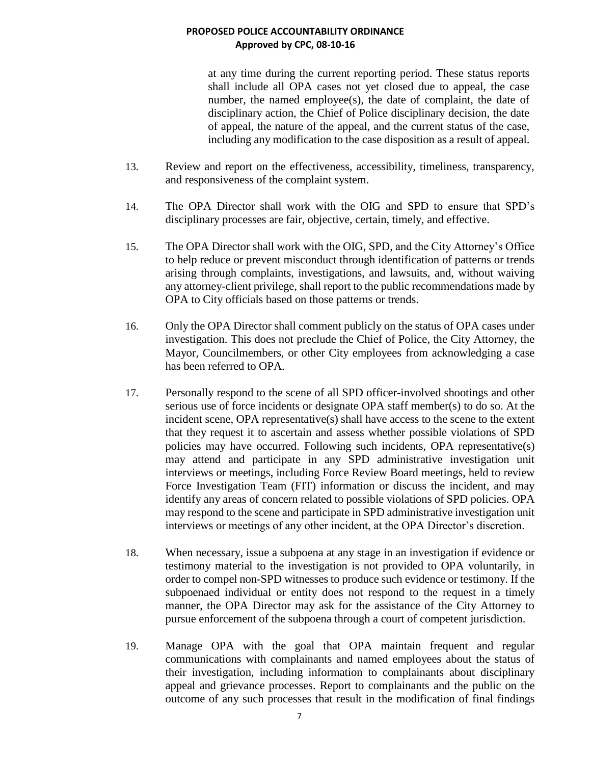at any time during the current reporting period. These status reports shall include all OPA cases not yet closed due to appeal, the case number, the named employee(s), the date of complaint, the date of disciplinary action, the Chief of Police disciplinary decision, the date of appeal, the nature of the appeal, and the current status of the case, including any modification to the case disposition as a result of appeal.

- 13. Review and report on the effectiveness, accessibility, timeliness, transparency, and responsiveness of the complaint system.
- 14. The OPA Director shall work with the OIG and SPD to ensure that SPD's disciplinary processes are fair, objective, certain, timely, and effective.
- 15. The OPA Director shall work with the OIG, SPD, and the City Attorney's Office to help reduce or prevent misconduct through identification of patterns or trends arising through complaints, investigations, and lawsuits, and, without waiving any attorney-client privilege, shall report to the public recommendations made by OPA to City officials based on those patterns or trends.
- 16. Only the OPA Director shall comment publicly on the status of OPA cases under investigation. This does not preclude the Chief of Police, the City Attorney, the Mayor, Councilmembers, or other City employees from acknowledging a case has been referred to OPA.
- 17. Personally respond to the scene of all SPD officer-involved shootings and other serious use of force incidents or designate OPA staff member(s) to do so. At the incident scene, OPA representative(s) shall have access to the scene to the extent that they request it to ascertain and assess whether possible violations of SPD policies may have occurred. Following such incidents, OPA representative(s) may attend and participate in any SPD administrative investigation unit interviews or meetings, including Force Review Board meetings, held to review Force Investigation Team (FIT) information or discuss the incident, and may identify any areas of concern related to possible violations of SPD policies. OPA may respond to the scene and participate in SPD administrative investigation unit interviews or meetings of any other incident, at the OPA Director's discretion.
- 18. When necessary, issue a subpoena at any stage in an investigation if evidence or testimony material to the investigation is not provided to OPA voluntarily, in order to compel non-SPD witnesses to produce such evidence or testimony. If the subpoenaed individual or entity does not respond to the request in a timely manner, the OPA Director may ask for the assistance of the City Attorney to pursue enforcement of the subpoena through a court of competent jurisdiction.
- 19. Manage OPA with the goal that OPA maintain frequent and regular communications with complainants and named employees about the status of their investigation, including information to complainants about disciplinary appeal and grievance processes. Report to complainants and the public on the outcome of any such processes that result in the modification of final findings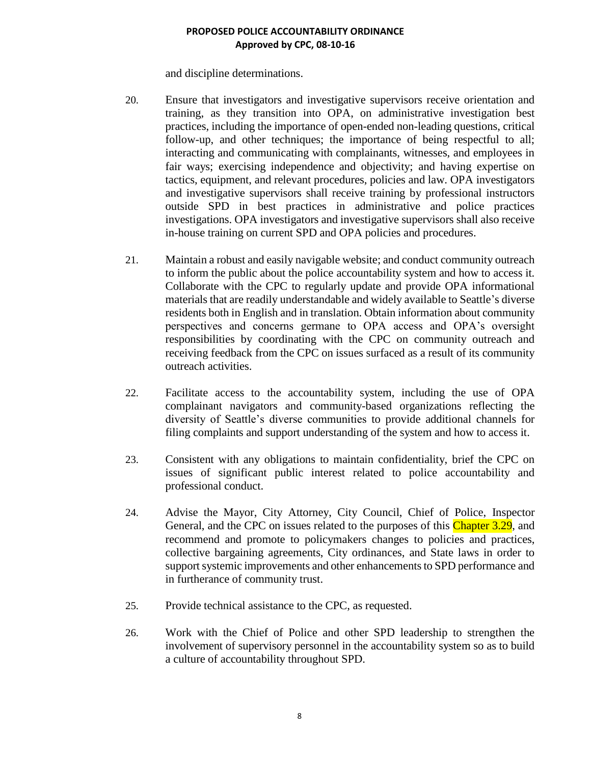and discipline determinations.

- 20. Ensure that investigators and investigative supervisors receive orientation and training, as they transition into OPA, on administrative investigation best practices, including the importance of open-ended non-leading questions, critical follow-up, and other techniques; the importance of being respectful to all; interacting and communicating with complainants, witnesses, and employees in fair ways; exercising independence and objectivity; and having expertise on tactics, equipment, and relevant procedures, policies and law. OPA investigators and investigative supervisors shall receive training by professional instructors outside SPD in best practices in administrative and police practices investigations. OPA investigators and investigative supervisors shall also receive in-house training on current SPD and OPA policies and procedures.
- 21. Maintain a robust and easily navigable website; and conduct community outreach to inform the public about the police accountability system and how to access it. Collaborate with the CPC to regularly update and provide OPA informational materials that are readily understandable and widely available to Seattle's diverse residents both in English and in translation. Obtain information about community perspectives and concerns germane to OPA access and OPA's oversight responsibilities by coordinating with the CPC on community outreach and receiving feedback from the CPC on issues surfaced as a result of its community outreach activities.
- 22. Facilitate access to the accountability system, including the use of OPA complainant navigators and community-based organizations reflecting the diversity of Seattle's diverse communities to provide additional channels for filing complaints and support understanding of the system and how to access it.
- 23. Consistent with any obligations to maintain confidentiality, brief the CPC on issues of significant public interest related to police accountability and professional conduct.
- 24. Advise the Mayor, City Attorney, City Council, Chief of Police, Inspector General, and the CPC on issues related to the purposes of this Chapter 3.29, and recommend and promote to policymakers changes to policies and practices, collective bargaining agreements, City ordinances, and State laws in order to support systemic improvements and other enhancements to SPD performance and in furtherance of community trust.
- 25. Provide technical assistance to the CPC, as requested.
- 26. Work with the Chief of Police and other SPD leadership to strengthen the involvement of supervisory personnel in the accountability system so as to build a culture of accountability throughout SPD.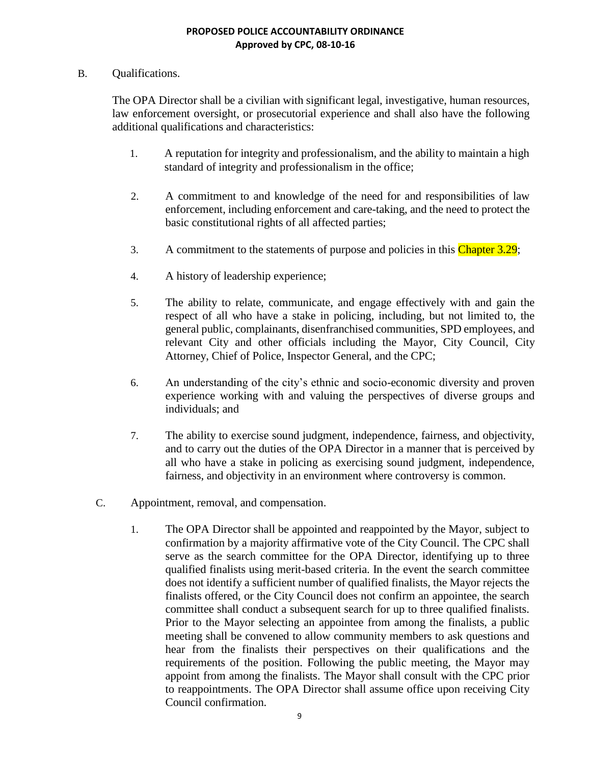## B. Qualifications.

The OPA Director shall be a civilian with significant legal, investigative, human resources, law enforcement oversight, or prosecutorial experience and shall also have the following additional qualifications and characteristics:

- 1. A reputation for integrity and professionalism, and the ability to maintain a high standard of integrity and professionalism in the office;
- 2. A commitment to and knowledge of the need for and responsibilities of law enforcement, including enforcement and care-taking, and the need to protect the basic constitutional rights of all affected parties;
- 3. A commitment to the statements of purpose and policies in this Chapter 3.29;
- 4. A history of leadership experience;
- 5. The ability to relate, communicate, and engage effectively with and gain the respect of all who have a stake in policing, including, but not limited to, the general public, complainants, disenfranchised communities, SPD employees, and relevant City and other officials including the Mayor, City Council, City Attorney, Chief of Police, Inspector General, and the CPC;
- 6. An understanding of the city's ethnic and socio-economic diversity and proven experience working with and valuing the perspectives of diverse groups and individuals; and
- 7. The ability to exercise sound judgment, independence, fairness, and objectivity, and to carry out the duties of the OPA Director in a manner that is perceived by all who have a stake in policing as exercising sound judgment, independence, fairness, and objectivity in an environment where controversy is common.
- C. Appointment, removal, and compensation.
	- 1. The OPA Director shall be appointed and reappointed by the Mayor, subject to confirmation by a majority affirmative vote of the City Council. The CPC shall serve as the search committee for the OPA Director, identifying up to three qualified finalists using merit-based criteria. In the event the search committee does not identify a sufficient number of qualified finalists, the Mayor rejects the finalists offered, or the City Council does not confirm an appointee, the search committee shall conduct a subsequent search for up to three qualified finalists. Prior to the Mayor selecting an appointee from among the finalists, a public meeting shall be convened to allow community members to ask questions and hear from the finalists their perspectives on their qualifications and the requirements of the position. Following the public meeting, the Mayor may appoint from among the finalists. The Mayor shall consult with the CPC prior to reappointments. The OPA Director shall assume office upon receiving City Council confirmation.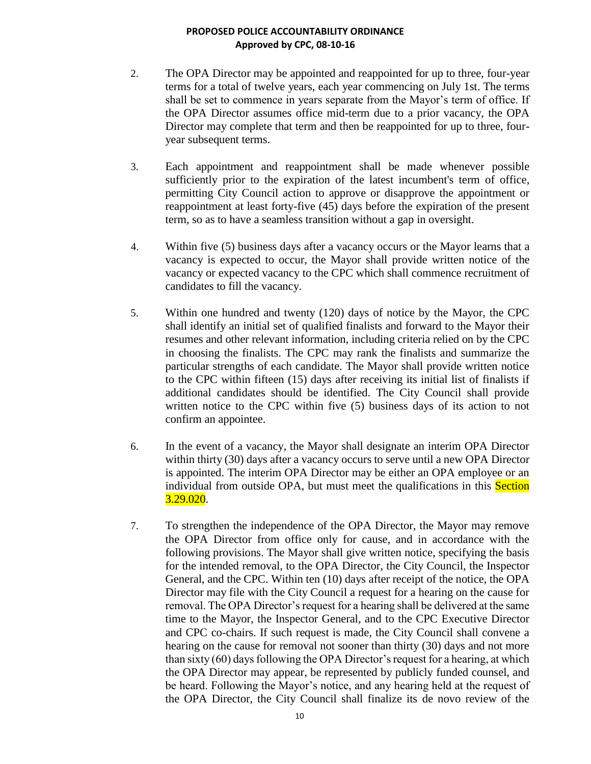- 2. The OPA Director may be appointed and reappointed for up to three, four-year terms for a total of twelve years, each year commencing on July 1st. The terms shall be set to commence in years separate from the Mayor's term of office. If the OPA Director assumes office mid-term due to a prior vacancy, the OPA Director may complete that term and then be reappointed for up to three, fouryear subsequent terms.
- 3. Each appointment and reappointment shall be made whenever possible sufficiently prior to the expiration of the latest incumbent's term of office, permitting City Council action to approve or disapprove the appointment or reappointment at least forty-five (45) days before the expiration of the present term, so as to have a seamless transition without a gap in oversight.
- 4. Within five (5) business days after a vacancy occurs or the Mayor learns that a vacancy is expected to occur, the Mayor shall provide written notice of the vacancy or expected vacancy to the CPC which shall commence recruitment of candidates to fill the vacancy.
- 5. Within one hundred and twenty (120) days of notice by the Mayor, the CPC shall identify an initial set of qualified finalists and forward to the Mayor their resumes and other relevant information, including criteria relied on by the CPC in choosing the finalists. The CPC may rank the finalists and summarize the particular strengths of each candidate. The Mayor shall provide written notice to the CPC within fifteen (15) days after receiving its initial list of finalists if additional candidates should be identified. The City Council shall provide written notice to the CPC within five (5) business days of its action to not confirm an appointee.
- 6. In the event of a vacancy, the Mayor shall designate an interim OPA Director within thirty (30) days after a vacancy occurs to serve until a new OPA Director is appointed. The interim OPA Director may be either an OPA employee or an individual from outside OPA, but must meet the qualifications in this **Section**  $3.29.020.$
- 7. To strengthen the independence of the OPA Director, the Mayor may remove the OPA Director from office only for cause, and in accordance with the following provisions. The Mayor shall give written notice, specifying the basis for the intended removal, to the OPA Director, the City Council, the Inspector General, and the CPC. Within ten (10) days after receipt of the notice, the OPA Director may file with the City Council a request for a hearing on the cause for removal. The OPA Director's request for a hearing shall be delivered at the same time to the Mayor, the Inspector General, and to the CPC Executive Director and CPC co-chairs. If such request is made, the City Council shall convene a hearing on the cause for removal not sooner than thirty (30) days and not more than sixty (60) days following the OPA Director's request for a hearing, at which the OPA Director may appear, be represented by publicly funded counsel, and be heard. Following the Mayor's notice, and any hearing held at the request of the OPA Director, the City Council shall finalize its de novo review of the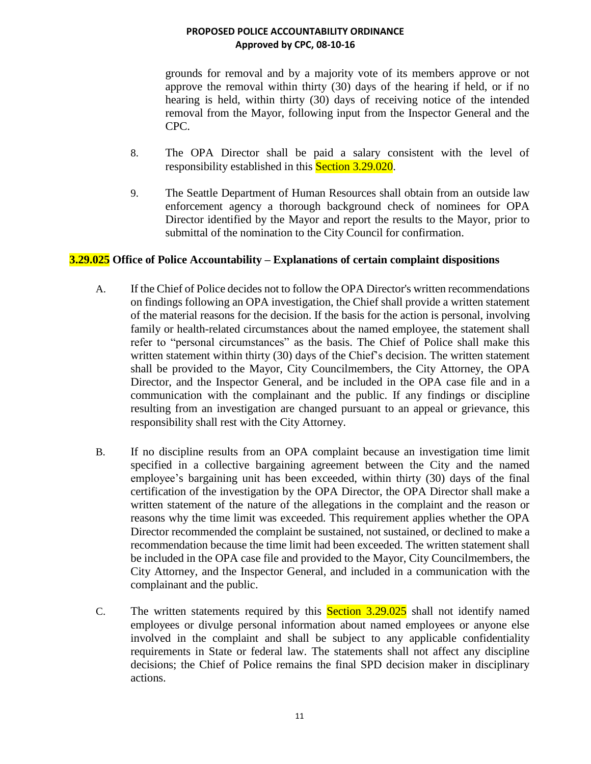grounds for removal and by a majority vote of its members approve or not approve the removal within thirty (30) days of the hearing if held, or if no hearing is held, within thirty (30) days of receiving notice of the intended removal from the Mayor, following input from the Inspector General and the CPC.

- 8. The OPA Director shall be paid a salary consistent with the level of responsibility established in this **Section 3.29.020**.
- 9. The Seattle Department of Human Resources shall obtain from an outside law enforcement agency a thorough background check of nominees for OPA Director identified by the Mayor and report the results to the Mayor, prior to submittal of the nomination to the City Council for confirmation.

## **3.29.025 Office of Police Accountability – Explanations of certain complaint dispositions**

- A. If the Chief of Police decides not to follow the OPA Director's written recommendations on findings following an OPA investigation, the Chief shall provide a written statement of the material reasons for the decision. If the basis for the action is personal, involving family or health-related circumstances about the named employee, the statement shall refer to "personal circumstances" as the basis. The Chief of Police shall make this written statement within thirty (30) days of the Chief's decision. The written statement shall be provided to the Mayor, City Councilmembers, the City Attorney, the OPA Director, and the Inspector General, and be included in the OPA case file and in a communication with the complainant and the public. If any findings or discipline resulting from an investigation are changed pursuant to an appeal or grievance, this responsibility shall rest with the City Attorney.
- B. If no discipline results from an OPA complaint because an investigation time limit specified in a collective bargaining agreement between the City and the named employee's bargaining unit has been exceeded, within thirty (30) days of the final certification of the investigation by the OPA Director, the OPA Director shall make a written statement of the nature of the allegations in the complaint and the reason or reasons why the time limit was exceeded. This requirement applies whether the OPA Director recommended the complaint be sustained, not sustained, or declined to make a recommendation because the time limit had been exceeded. The written statement shall be included in the OPA case file and provided to the Mayor, City Councilmembers, the City Attorney, and the Inspector General, and included in a communication with the complainant and the public.
- C. The written statements required by this Section 3.29.025 shall not identify named employees or divulge personal information about named employees or anyone else involved in the complaint and shall be subject to any applicable confidentiality requirements in State or federal law. The statements shall not affect any discipline decisions; the Chief of Police remains the final SPD decision maker in disciplinary actions.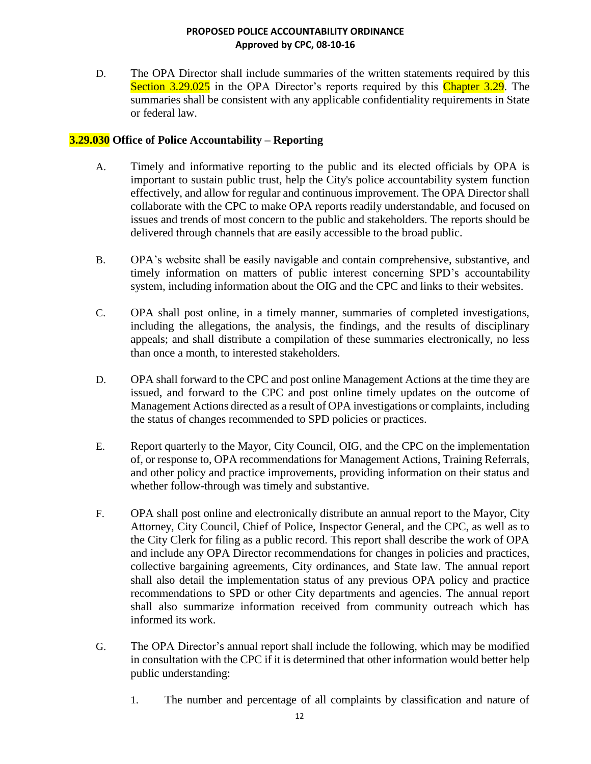D. The OPA Director shall include summaries of the written statements required by this Section 3.29.025 in the OPA Director's reports required by this Chapter 3.29. The summaries shall be consistent with any applicable confidentiality requirements in State or federal law.

## **3.29.030 Office of Police Accountability – Reporting**

- A. Timely and informative reporting to the public and its elected officials by OPA is important to sustain public trust, help the City's police accountability system function effectively, and allow for regular and continuous improvement. The OPA Director shall collaborate with the CPC to make OPA reports readily understandable, and focused on issues and trends of most concern to the public and stakeholders. The reports should be delivered through channels that are easily accessible to the broad public.
- B. OPA's website shall be easily navigable and contain comprehensive, substantive, and timely information on matters of public interest concerning SPD's accountability system, including information about the OIG and the CPC and links to their websites.
- C. OPA shall post online, in a timely manner, summaries of completed investigations, including the allegations, the analysis, the findings, and the results of disciplinary appeals; and shall distribute a compilation of these summaries electronically, no less than once a month, to interested stakeholders.
- D. OPA shall forward to the CPC and post online Management Actions at the time they are issued, and forward to the CPC and post online timely updates on the outcome of Management Actions directed as a result of OPA investigations or complaints, including the status of changes recommended to SPD policies or practices.
- E. Report quarterly to the Mayor, City Council, OIG, and the CPC on the implementation of, or response to, OPA recommendations for Management Actions, Training Referrals, and other policy and practice improvements, providing information on their status and whether follow-through was timely and substantive.
- F. OPA shall post online and electronically distribute an annual report to the Mayor, City Attorney, City Council, Chief of Police, Inspector General, and the CPC, as well as to the City Clerk for filing as a public record. This report shall describe the work of OPA and include any OPA Director recommendations for changes in policies and practices, collective bargaining agreements, City ordinances, and State law. The annual report shall also detail the implementation status of any previous OPA policy and practice recommendations to SPD or other City departments and agencies. The annual report shall also summarize information received from community outreach which has informed its work.
- G. The OPA Director's annual report shall include the following, which may be modified in consultation with the CPC if it is determined that other information would better help public understanding:
	- 1. The number and percentage of all complaints by classification and nature of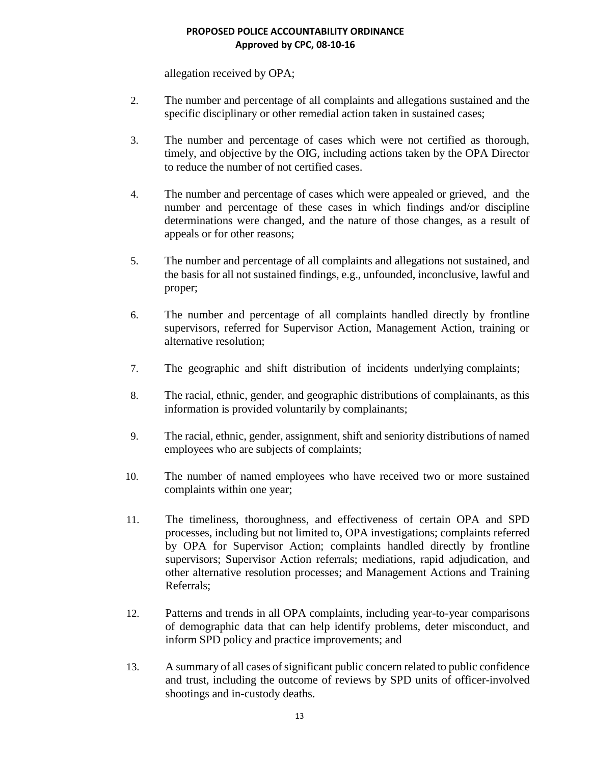allegation received by OPA;

- 2. The number and percentage of all complaints and allegations sustained and the specific disciplinary or other remedial action taken in sustained cases;
- 3. The number and percentage of cases which were not certified as thorough, timely, and objective by the OIG, including actions taken by the OPA Director to reduce the number of not certified cases.
- 4. The number and percentage of cases which were appealed or grieved, and the number and percentage of these cases in which findings and/or discipline determinations were changed, and the nature of those changes, as a result of appeals or for other reasons;
- 5. The number and percentage of all complaints and allegations not sustained, and the basis for all not sustained findings, e.g., unfounded, inconclusive, lawful and proper;
- 6. The number and percentage of all complaints handled directly by frontline supervisors, referred for Supervisor Action, Management Action, training or alternative resolution;
- 7. The geographic and shift distribution of incidents underlying complaints;
- 8. The racial, ethnic, gender, and geographic distributions of complainants, as this information is provided voluntarily by complainants;
- 9. The racial, ethnic, gender, assignment, shift and seniority distributions of named employees who are subjects of complaints;
- 10. The number of named employees who have received two or more sustained complaints within one year;
- 11. The timeliness, thoroughness, and effectiveness of certain OPA and SPD processes, including but not limited to, OPA investigations; complaints referred by OPA for Supervisor Action; complaints handled directly by frontline supervisors; Supervisor Action referrals; mediations, rapid adjudication, and other alternative resolution processes; and Management Actions and Training Referrals;
- 12. Patterns and trends in all OPA complaints, including year-to-year comparisons of demographic data that can help identify problems, deter misconduct, and inform SPD policy and practice improvements; and
- 13. A summary of all cases of significant public concern related to public confidence and trust, including the outcome of reviews by SPD units of officer-involved shootings and in-custody deaths.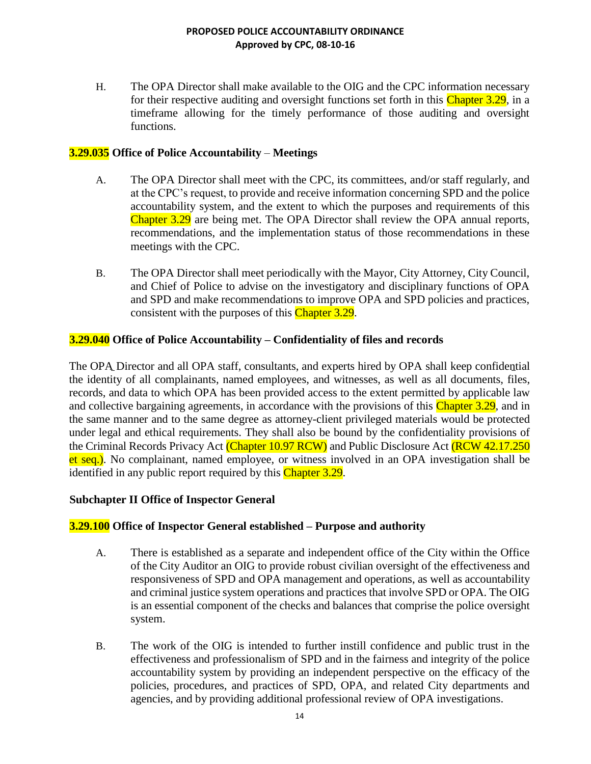H. The OPA Director shall make available to the OIG and the CPC information necessary for their respective auditing and oversight functions set forth in this Chapter 3.29, in a timeframe allowing for the timely performance of those auditing and oversight functions.

## **3.29.035 Office of Police Accountability** – **Meetings**

- A. The OPA Director shall meet with the CPC, its committees, and/or staff regularly, and at the CPC's request, to provide and receive information concerning SPD and the police accountability system, and the extent to which the purposes and requirements of this Chapter 3.29 are being met. The OPA Director shall review the OPA annual reports, recommendations, and the implementation status of those recommendations in these meetings with the CPC.
- B. The OPA Director shall meet periodically with the Mayor, City Attorney, City Council, and Chief of Police to advise on the investigatory and disciplinary functions of OPA and SPD and make recommendations to improve OPA and SPD policies and practices, consistent with the purposes of this Chapter 3.29.

## **3.29.040 Office of Police Accountability – Confidentiality of files and records**

The OPA Director and all OPA staff, consultants, and experts hired by OPA shall keep confidential the identity of all complainants, named employees, and witnesses, as well as all documents, files, records, and data to which OPA has been provided access to the extent permitted by applicable law and collective bargaining agreements, in accordance with the provisions of this Chapter 3.29, and in the same manner and to the same degree as attorney-client privileged materials would be protected under legal and ethical requirements. They shall also be bound by the confidentiality provisions of the Criminal Records Privacy Act (Chapter 10.97 RCW) and Public Disclosure Act (RCW 42.17.250 et seq.). No complainant, named employee, or witness involved in an OPA investigation shall be identified in any public report required by this Chapter 3.29.

## **Subchapter II Office of Inspector General**

## **3.29.100 Office of Inspector General established – Purpose and authority**

- A. There is established as a separate and independent office of the City within the Office of the City Auditor an OIG to provide robust civilian oversight of the effectiveness and responsiveness of SPD and OPA management and operations, as well as accountability and criminal justice system operations and practices that involve SPD or OPA. The OIG is an essential component of the checks and balances that comprise the police oversight system.
- B. The work of the OIG is intended to further instill confidence and public trust in the effectiveness and professionalism of SPD and in the fairness and integrity of the police accountability system by providing an independent perspective on the efficacy of the policies, procedures, and practices of SPD, OPA, and related City departments and agencies, and by providing additional professional review of OPA investigations.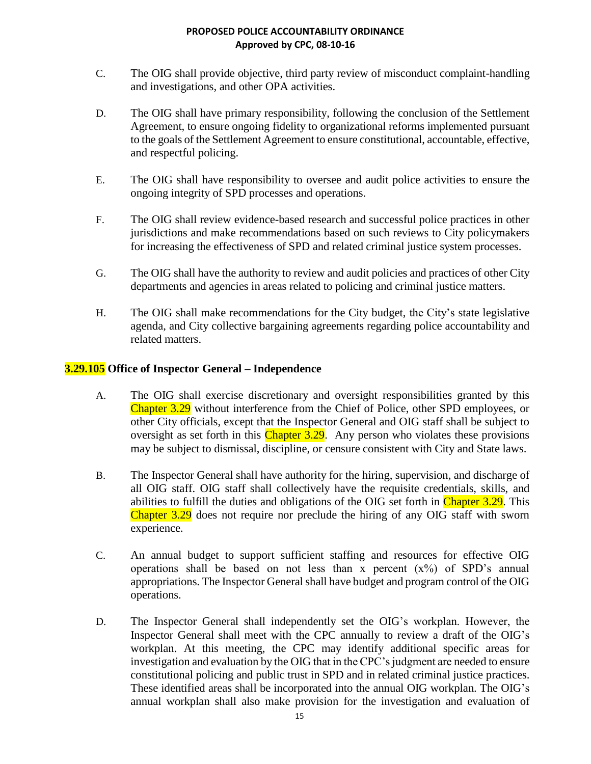- C. The OIG shall provide objective, third party review of misconduct complaint-handling and investigations, and other OPA activities.
- D. The OIG shall have primary responsibility, following the conclusion of the Settlement Agreement, to ensure ongoing fidelity to organizational reforms implemented pursuant to the goals of the Settlement Agreement to ensure constitutional, accountable, effective, and respectful policing.
- E. The OIG shall have responsibility to oversee and audit police activities to ensure the ongoing integrity of SPD processes and operations.
- F. The OIG shall review evidence-based research and successful police practices in other jurisdictions and make recommendations based on such reviews to City policymakers for increasing the effectiveness of SPD and related criminal justice system processes.
- G. The OIG shall have the authority to review and audit policies and practices of other City departments and agencies in areas related to policing and criminal justice matters.
- H. The OIG shall make recommendations for the City budget, the City's state legislative agenda, and City collective bargaining agreements regarding police accountability and related matters.

# **3.29.105 Office of Inspector General – Independence**

- A. The OIG shall exercise discretionary and oversight responsibilities granted by this Chapter 3.29 without interference from the Chief of Police, other SPD employees, or other City officials, except that the Inspector General and OIG staff shall be subject to oversight as set forth in this Chapter 3.29. Any person who violates these provisions may be subject to dismissal, discipline, or censure consistent with City and State laws.
- B. The Inspector General shall have authority for the hiring, supervision, and discharge of all OIG staff. OIG staff shall collectively have the requisite credentials, skills, and abilities to fulfill the duties and obligations of the OIG set forth in Chapter 3.29. This Chapter 3.29 does not require nor preclude the hiring of any OIG staff with sworn experience.
- C. An annual budget to support sufficient staffing and resources for effective OIG operations shall be based on not less than x percent  $(x\%)$  of SPD's annual appropriations. The Inspector General shall have budget and program control of the OIG operations.
- D. The Inspector General shall independently set the OIG's workplan. However, the Inspector General shall meet with the CPC annually to review a draft of the OIG's workplan. At this meeting, the CPC may identify additional specific areas for investigation and evaluation by the OIG that in the CPC's judgment are needed to ensure constitutional policing and public trust in SPD and in related criminal justice practices. These identified areas shall be incorporated into the annual OIG workplan. The OIG's annual workplan shall also make provision for the investigation and evaluation of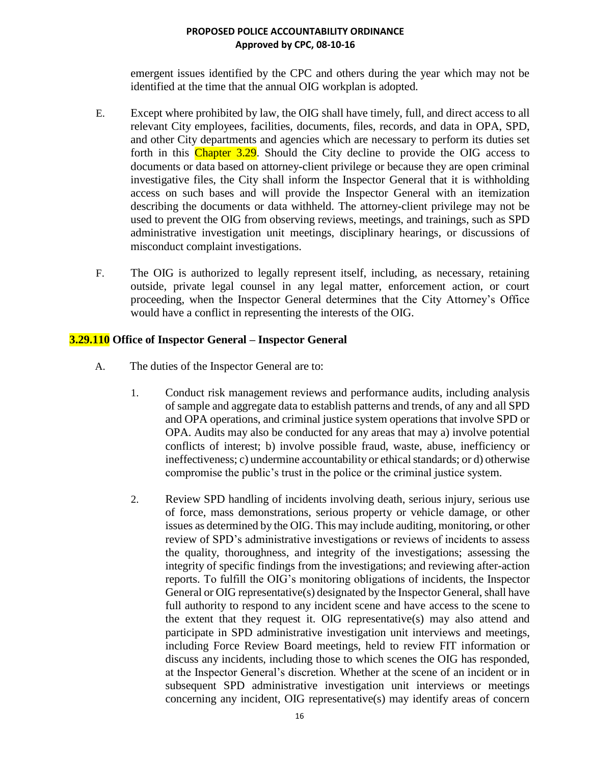emergent issues identified by the CPC and others during the year which may not be identified at the time that the annual OIG workplan is adopted.

- E. Except where prohibited by law, the OIG shall have timely, full, and direct access to all relevant City employees, facilities, documents, files, records, and data in OPA, SPD, and other City departments and agencies which are necessary to perform its duties set forth in this Chapter 3.29. Should the City decline to provide the OIG access to documents or data based on attorney-client privilege or because they are open criminal investigative files, the City shall inform the Inspector General that it is withholding access on such bases and will provide the Inspector General with an itemization describing the documents or data withheld. The attorney-client privilege may not be used to prevent the OIG from observing reviews, meetings, and trainings, such as SPD administrative investigation unit meetings, disciplinary hearings, or discussions of misconduct complaint investigations.
- F. The OIG is authorized to legally represent itself, including, as necessary, retaining outside, private legal counsel in any legal matter, enforcement action, or court proceeding, when the Inspector General determines that the City Attorney's Office would have a conflict in representing the interests of the OIG.

## **3.29.110 Office of Inspector General – Inspector General**

- A. The duties of the Inspector General are to:
	- 1. Conduct risk management reviews and performance audits, including analysis of sample and aggregate data to establish patterns and trends, of any and all SPD and OPA operations, and criminal justice system operations that involve SPD or OPA. Audits may also be conducted for any areas that may a) involve potential conflicts of interest; b) involve possible fraud, waste, abuse, inefficiency or ineffectiveness; c) undermine accountability or ethical standards; or d) otherwise compromise the public's trust in the police or the criminal justice system.
	- 2. Review SPD handling of incidents involving death, serious injury, serious use of force, mass demonstrations, serious property or vehicle damage, or other issues as determined by the OIG. This may include auditing, monitoring, or other review of SPD's administrative investigations or reviews of incidents to assess the quality, thoroughness, and integrity of the investigations; assessing the integrity of specific findings from the investigations; and reviewing after-action reports. To fulfill the OIG's monitoring obligations of incidents, the Inspector General or OIG representative(s) designated by the Inspector General, shall have full authority to respond to any incident scene and have access to the scene to the extent that they request it. OIG representative(s) may also attend and participate in SPD administrative investigation unit interviews and meetings, including Force Review Board meetings, held to review FIT information or discuss any incidents, including those to which scenes the OIG has responded, at the Inspector General's discretion. Whether at the scene of an incident or in subsequent SPD administrative investigation unit interviews or meetings concerning any incident, OIG representative(s) may identify areas of concern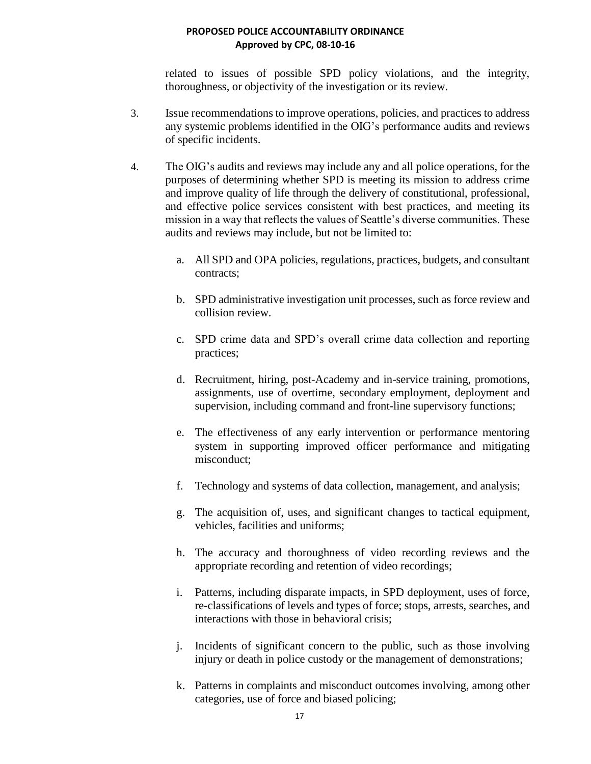related to issues of possible SPD policy violations, and the integrity, thoroughness, or objectivity of the investigation or its review.

- 3. Issue recommendations to improve operations, policies, and practices to address any systemic problems identified in the OIG's performance audits and reviews of specific incidents.
- 4. The OIG's audits and reviews may include any and all police operations, for the purposes of determining whether SPD is meeting its mission to address crime and improve quality of life through the delivery of constitutional, professional, and effective police services consistent with best practices, and meeting its mission in a way that reflects the values of Seattle's diverse communities. These audits and reviews may include, but not be limited to:
	- a. All SPD and OPA policies, regulations, practices, budgets, and consultant contracts;
	- b. SPD administrative investigation unit processes, such as force review and collision review.
	- c. SPD crime data and SPD's overall crime data collection and reporting practices;
	- d. Recruitment, hiring, post-Academy and in-service training, promotions, assignments, use of overtime, secondary employment, deployment and supervision, including command and front-line supervisory functions;
	- e. The effectiveness of any early intervention or performance mentoring system in supporting improved officer performance and mitigating misconduct;
	- f. Technology and systems of data collection, management, and analysis;
	- g. The acquisition of, uses, and significant changes to tactical equipment, vehicles, facilities and uniforms;
	- h. The accuracy and thoroughness of video recording reviews and the appropriate recording and retention of video recordings;
	- i. Patterns, including disparate impacts, in SPD deployment, uses of force, re-classifications of levels and types of force; stops, arrests, searches, and interactions with those in behavioral crisis;
	- j. Incidents of significant concern to the public, such as those involving injury or death in police custody or the management of demonstrations;
	- k. Patterns in complaints and misconduct outcomes involving, among other categories, use of force and biased policing;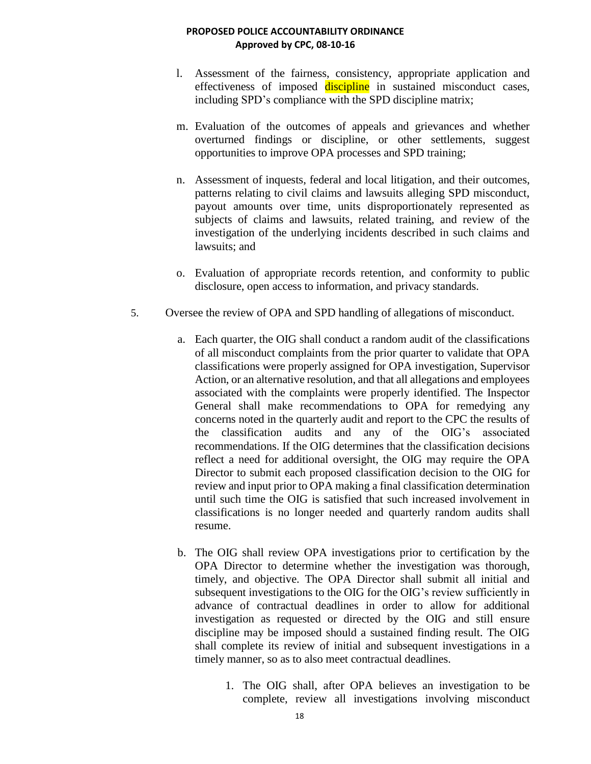- l. Assessment of the fairness, consistency, appropriate application and effectiveness of imposed discipline in sustained misconduct cases, including SPD's compliance with the SPD discipline matrix;
- m. Evaluation of the outcomes of appeals and grievances and whether overturned findings or discipline, or other settlements, suggest opportunities to improve OPA processes and SPD training;
- n. Assessment of inquests, federal and local litigation, and their outcomes, patterns relating to civil claims and lawsuits alleging SPD misconduct, payout amounts over time, units disproportionately represented as subjects of claims and lawsuits, related training, and review of the investigation of the underlying incidents described in such claims and lawsuits; and
- o. Evaluation of appropriate records retention, and conformity to public disclosure, open access to information, and privacy standards.
- 5. Oversee the review of OPA and SPD handling of allegations of misconduct.
	- a. Each quarter, the OIG shall conduct a random audit of the classifications of all misconduct complaints from the prior quarter to validate that OPA classifications were properly assigned for OPA investigation, Supervisor Action, or an alternative resolution, and that all allegations and employees associated with the complaints were properly identified. The Inspector General shall make recommendations to OPA for remedying any concerns noted in the quarterly audit and report to the CPC the results of the classification audits and any of the OIG's associated recommendations. If the OIG determines that the classification decisions reflect a need for additional oversight, the OIG may require the OPA Director to submit each proposed classification decision to the OIG for review and input prior to OPA making a final classification determination until such time the OIG is satisfied that such increased involvement in classifications is no longer needed and quarterly random audits shall resume.
	- b. The OIG shall review OPA investigations prior to certification by the OPA Director to determine whether the investigation was thorough, timely, and objective. The OPA Director shall submit all initial and subsequent investigations to the OIG for the OIG's review sufficiently in advance of contractual deadlines in order to allow for additional investigation as requested or directed by the OIG and still ensure discipline may be imposed should a sustained finding result. The OIG shall complete its review of initial and subsequent investigations in a timely manner, so as to also meet contractual deadlines.
		- 1. The OIG shall, after OPA believes an investigation to be complete, review all investigations involving misconduct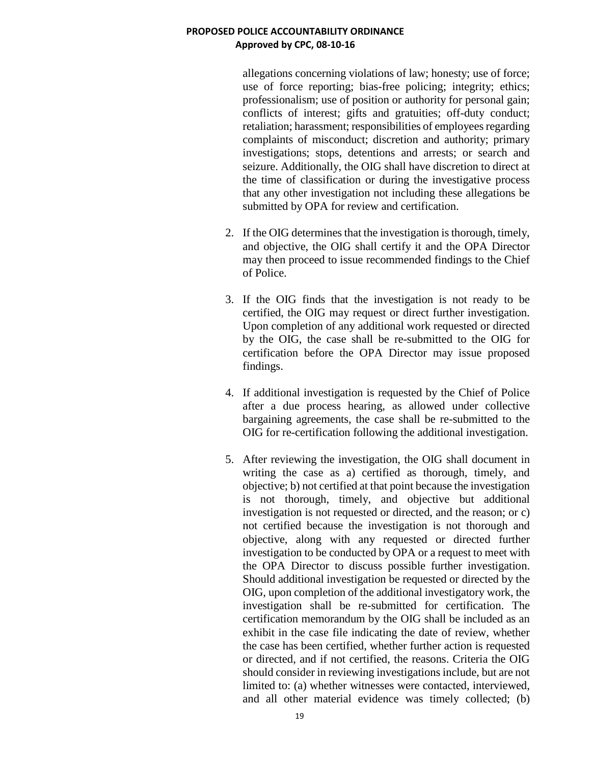allegations concerning violations of law; honesty; use of force; use of force reporting; bias-free policing; integrity; ethics; professionalism; use of position or authority for personal gain; conflicts of interest; gifts and gratuities; off-duty conduct; retaliation; harassment; responsibilities of employees regarding complaints of misconduct; discretion and authority; primary investigations; stops, detentions and arrests; or search and seizure. Additionally, the OIG shall have discretion to direct at the time of classification or during the investigative process that any other investigation not including these allegations be submitted by OPA for review and certification.

- 2. If the OIG determines that the investigation is thorough, timely, and objective, the OIG shall certify it and the OPA Director may then proceed to issue recommended findings to the Chief of Police.
- 3. If the OIG finds that the investigation is not ready to be certified, the OIG may request or direct further investigation. Upon completion of any additional work requested or directed by the OIG, the case shall be re-submitted to the OIG for certification before the OPA Director may issue proposed findings.
- 4. If additional investigation is requested by the Chief of Police after a due process hearing, as allowed under collective bargaining agreements, the case shall be re-submitted to the OIG for re-certification following the additional investigation.
- 5. After reviewing the investigation, the OIG shall document in writing the case as a) certified as thorough, timely, and objective; b) not certified at that point because the investigation is not thorough, timely, and objective but additional investigation is not requested or directed, and the reason; or c) not certified because the investigation is not thorough and objective, along with any requested or directed further investigation to be conducted by OPA or a request to meet with the OPA Director to discuss possible further investigation. Should additional investigation be requested or directed by the OIG, upon completion of the additional investigatory work, the investigation shall be re-submitted for certification. The certification memorandum by the OIG shall be included as an exhibit in the case file indicating the date of review, whether the case has been certified, whether further action is requested or directed, and if not certified, the reasons. Criteria the OIG should consider in reviewing investigations include, but are not limited to: (a) whether witnesses were contacted, interviewed, and all other material evidence was timely collected; (b)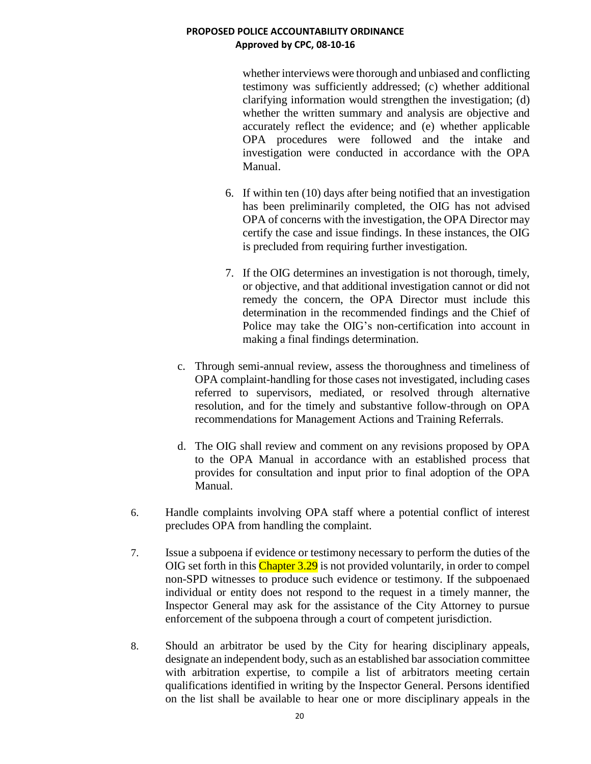whether interviews were thorough and unbiased and conflicting testimony was sufficiently addressed; (c) whether additional clarifying information would strengthen the investigation; (d) whether the written summary and analysis are objective and accurately reflect the evidence; and (e) whether applicable OPA procedures were followed and the intake and investigation were conducted in accordance with the OPA Manual.

- 6. If within ten (10) days after being notified that an investigation has been preliminarily completed, the OIG has not advised OPA of concerns with the investigation, the OPA Director may certify the case and issue findings. In these instances, the OIG is precluded from requiring further investigation.
- 7. If the OIG determines an investigation is not thorough, timely, or objective, and that additional investigation cannot or did not remedy the concern, the OPA Director must include this determination in the recommended findings and the Chief of Police may take the OIG's non-certification into account in making a final findings determination.
- c. Through semi-annual review, assess the thoroughness and timeliness of OPA complaint-handling for those cases not investigated, including cases referred to supervisors, mediated, or resolved through alternative resolution, and for the timely and substantive follow-through on OPA recommendations for Management Actions and Training Referrals.
- d. The OIG shall review and comment on any revisions proposed by OPA to the OPA Manual in accordance with an established process that provides for consultation and input prior to final adoption of the OPA Manual.
- 6. Handle complaints involving OPA staff where a potential conflict of interest precludes OPA from handling the complaint.
- 7. Issue a subpoena if evidence or testimony necessary to perform the duties of the OIG set forth in this Chapter 3.29 is not provided voluntarily, in order to compel non-SPD witnesses to produce such evidence or testimony. If the subpoenaed individual or entity does not respond to the request in a timely manner, the Inspector General may ask for the assistance of the City Attorney to pursue enforcement of the subpoena through a court of competent jurisdiction.
- 8. Should an arbitrator be used by the City for hearing disciplinary appeals, designate an independent body, such as an established bar association committee with arbitration expertise, to compile a list of arbitrators meeting certain qualifications identified in writing by the Inspector General. Persons identified on the list shall be available to hear one or more disciplinary appeals in the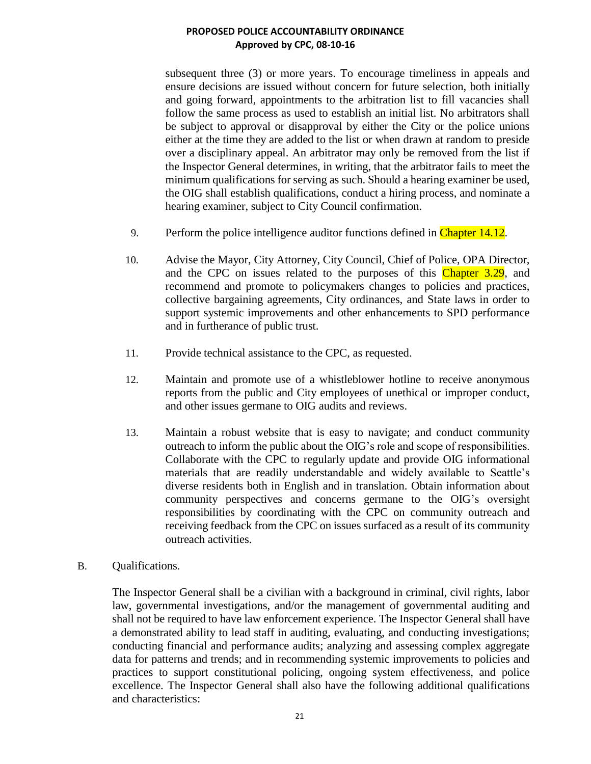subsequent three (3) or more years. To encourage timeliness in appeals and ensure decisions are issued without concern for future selection, both initially and going forward, appointments to the arbitration list to fill vacancies shall follow the same process as used to establish an initial list. No arbitrators shall be subject to approval or disapproval by either the City or the police unions either at the time they are added to the list or when drawn at random to preside over a disciplinary appeal. An arbitrator may only be removed from the list if the Inspector General determines, in writing, that the arbitrator fails to meet the minimum qualifications for serving as such. Should a hearing examiner be used, the OIG shall establish qualifications, conduct a hiring process, and nominate a hearing examiner, subject to City Council confirmation.

- 9. Perform the police intelligence auditor functions defined in Chapter 14.12.
- 10. Advise the Mayor, City Attorney, City Council, Chief of Police, OPA Director, and the CPC on issues related to the purposes of this Chapter 3.29, and recommend and promote to policymakers changes to policies and practices, collective bargaining agreements, City ordinances, and State laws in order to support systemic improvements and other enhancements to SPD performance and in furtherance of public trust.
- 11. Provide technical assistance to the CPC, as requested.
- 12. Maintain and promote use of a whistleblower hotline to receive anonymous reports from the public and City employees of unethical or improper conduct, and other issues germane to OIG audits and reviews.
- 13. Maintain a robust website that is easy to navigate; and conduct community outreach to inform the public about the OIG's role and scope of responsibilities. Collaborate with the CPC to regularly update and provide OIG informational materials that are readily understandable and widely available to Seattle's diverse residents both in English and in translation. Obtain information about community perspectives and concerns germane to the OIG's oversight responsibilities by coordinating with the CPC on community outreach and receiving feedback from the CPC on issues surfaced as a result of its community outreach activities.
- B. Qualifications.

The Inspector General shall be a civilian with a background in criminal, civil rights, labor law, governmental investigations, and/or the management of governmental auditing and shall not be required to have law enforcement experience. The Inspector General shall have a demonstrated ability to lead staff in auditing, evaluating, and conducting investigations; conducting financial and performance audits; analyzing and assessing complex aggregate data for patterns and trends; and in recommending systemic improvements to policies and practices to support constitutional policing, ongoing system effectiveness, and police excellence. The Inspector General shall also have the following additional qualifications and characteristics: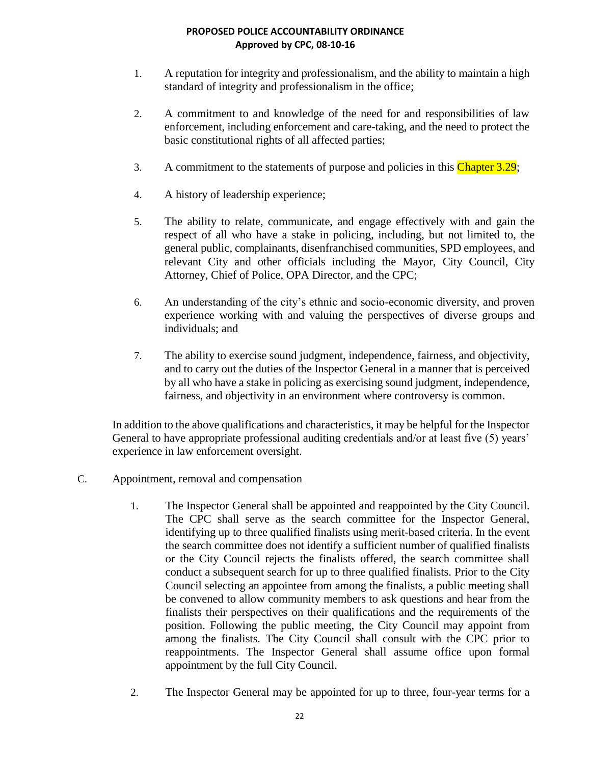- 1. A reputation for integrity and professionalism, and the ability to maintain a high standard of integrity and professionalism in the office;
- 2. A commitment to and knowledge of the need for and responsibilities of law enforcement, including enforcement and care-taking, and the need to protect the basic constitutional rights of all affected parties;
- 3. A commitment to the statements of purpose and policies in this Chapter 3.29;
- 4. A history of leadership experience;
- 5. The ability to relate, communicate, and engage effectively with and gain the respect of all who have a stake in policing, including, but not limited to, the general public, complainants, disenfranchised communities, SPD employees, and relevant City and other officials including the Mayor, City Council, City Attorney, Chief of Police, OPA Director, and the CPC;
- 6. An understanding of the city's ethnic and socio-economic diversity, and proven experience working with and valuing the perspectives of diverse groups and individuals; and
- 7. The ability to exercise sound judgment, independence, fairness, and objectivity, and to carry out the duties of the Inspector General in a manner that is perceived by all who have a stake in policing as exercising sound judgment, independence, fairness, and objectivity in an environment where controversy is common.

In addition to the above qualifications and characteristics, it may be helpful for the Inspector General to have appropriate professional auditing credentials and/or at least five (5) years' experience in law enforcement oversight.

- C. Appointment, removal and compensation
	- 1. The Inspector General shall be appointed and reappointed by the City Council. The CPC shall serve as the search committee for the Inspector General, identifying up to three qualified finalists using merit-based criteria. In the event the search committee does not identify a sufficient number of qualified finalists or the City Council rejects the finalists offered, the search committee shall conduct a subsequent search for up to three qualified finalists. Prior to the City Council selecting an appointee from among the finalists, a public meeting shall be convened to allow community members to ask questions and hear from the finalists their perspectives on their qualifications and the requirements of the position. Following the public meeting, the City Council may appoint from among the finalists. The City Council shall consult with the CPC prior to reappointments. The Inspector General shall assume office upon formal appointment by the full City Council.
	- 2. The Inspector General may be appointed for up to three, four-year terms for a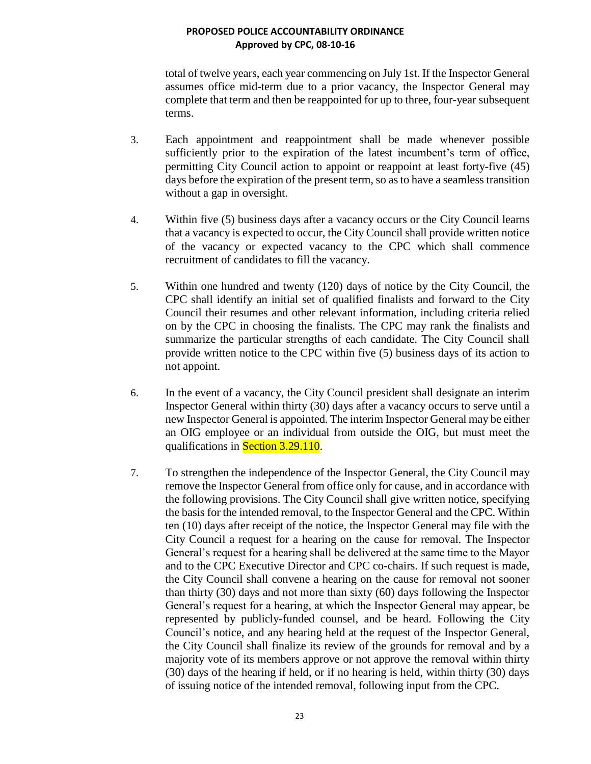total of twelve years, each year commencing on July 1st. If the Inspector General assumes office mid-term due to a prior vacancy, the Inspector General may complete that term and then be reappointed for up to three, four-year subsequent terms.

- 3. Each appointment and reappointment shall be made whenever possible sufficiently prior to the expiration of the latest incumbent's term of office, permitting City Council action to appoint or reappoint at least forty-five (45) days before the expiration of the present term, so as to have a seamless transition without a gap in oversight.
- 4. Within five (5) business days after a vacancy occurs or the City Council learns that a vacancy is expected to occur, the City Council shall provide written notice of the vacancy or expected vacancy to the CPC which shall commence recruitment of candidates to fill the vacancy.
- 5. Within one hundred and twenty (120) days of notice by the City Council, the CPC shall identify an initial set of qualified finalists and forward to the City Council their resumes and other relevant information, including criteria relied on by the CPC in choosing the finalists. The CPC may rank the finalists and summarize the particular strengths of each candidate. The City Council shall provide written notice to the CPC within five (5) business days of its action to not appoint.
- 6. In the event of a vacancy, the City Council president shall designate an interim Inspector General within thirty (30) days after a vacancy occurs to serve until a new Inspector General is appointed. The interim Inspector General may be either an OIG employee or an individual from outside the OIG, but must meet the qualifications in **Section 3.29.110**.
- 7. To strengthen the independence of the Inspector General, the City Council may remove the Inspector General from office only for cause, and in accordance with the following provisions. The City Council shall give written notice, specifying the basis for the intended removal, to the Inspector General and the CPC. Within ten (10) days after receipt of the notice, the Inspector General may file with the City Council a request for a hearing on the cause for removal. The Inspector General's request for a hearing shall be delivered at the same time to the Mayor and to the CPC Executive Director and CPC co-chairs. If such request is made, the City Council shall convene a hearing on the cause for removal not sooner than thirty (30) days and not more than sixty (60) days following the Inspector General's request for a hearing, at which the Inspector General may appear, be represented by publicly-funded counsel, and be heard. Following the City Council's notice, and any hearing held at the request of the Inspector General, the City Council shall finalize its review of the grounds for removal and by a majority vote of its members approve or not approve the removal within thirty (30) days of the hearing if held, or if no hearing is held, within thirty (30) days of issuing notice of the intended removal, following input from the CPC.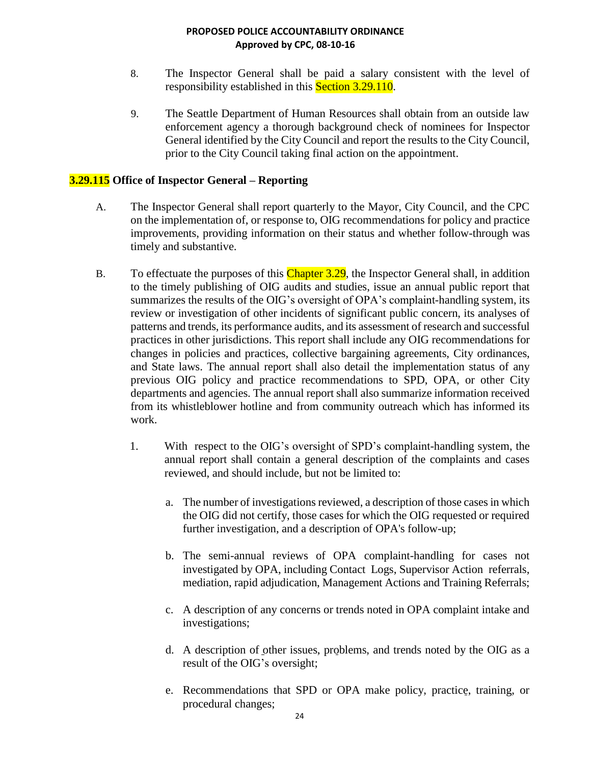- 8. The Inspector General shall be paid a salary consistent with the level of responsibility established in this **Section 3.29.110.**
- 9. The Seattle Department of Human Resources shall obtain from an outside law enforcement agency a thorough background check of nominees for Inspector General identified by the City Council and report the results to the City Council, prior to the City Council taking final action on the appointment.

## **3.29.115 Office of Inspector General – Reporting**

- A. The Inspector General shall report quarterly to the Mayor, City Council, and the CPC on the implementation of, or response to, OIG recommendations for policy and practice improvements, providing information on their status and whether follow-through was timely and substantive.
- B. To effectuate the purposes of this Chapter 3.29, the Inspector General shall, in addition to the timely publishing of OIG audits and studies, issue an annual public report that summarizes the results of the OIG's oversight of OPA's complaint-handling system, its review or investigation of other incidents of significant public concern, its analyses of patterns and trends, its performance audits, and its assessment of research and successful practices in other jurisdictions. This report shall include any OIG recommendations for changes in policies and practices, collective bargaining agreements, City ordinances, and State laws. The annual report shall also detail the implementation status of any previous OIG policy and practice recommendations to SPD, OPA, or other City departments and agencies. The annual report shall also summarize information received from its whistleblower hotline and from community outreach which has informed its work.
	- 1. With respect to the OIG's oversight of SPD's complaint-handling system, the annual report shall contain a general description of the complaints and cases reviewed, and should include, but not be limited to:
		- a. The number of investigations reviewed, a description of those cases in which the OIG did not certify, those cases for which the OIG requested or required further investigation, and a description of OPA's follow-up;
		- b. The semi-annual reviews of OPA complaint-handling for cases not investigated by OPA, including Contact Logs, Supervisor Action referrals, mediation, rapid adjudication, Management Actions and Training Referrals;
		- c. A description of any concerns or trends noted in OPA complaint intake and investigations;
		- d. A description of other issues, problems, and trends noted by the OIG as a result of the OIG's oversight;
		- e. Recommendations that SPD or OPA make policy, practice, training, or procedural changes;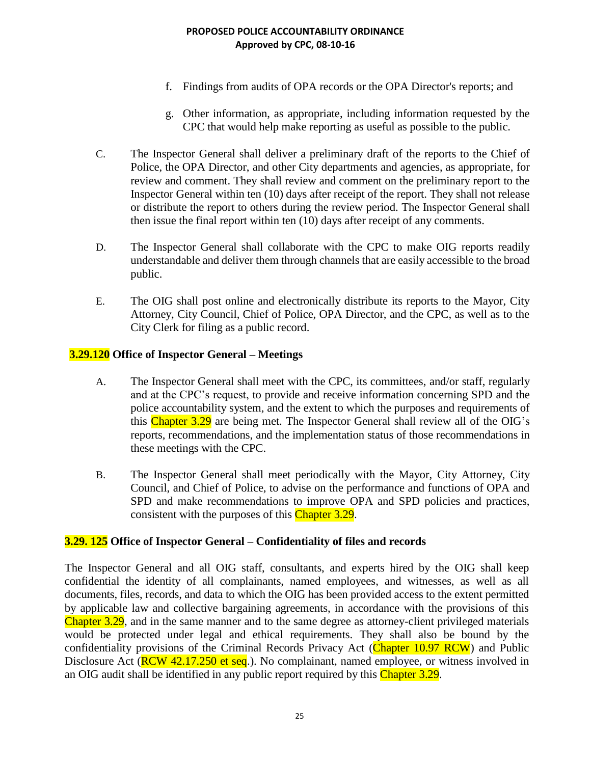- f. Findings from audits of OPA records or the OPA Director's reports; and
- g. Other information, as appropriate, including information requested by the CPC that would help make reporting as useful as possible to the public.
- C. The Inspector General shall deliver a preliminary draft of the reports to the Chief of Police, the OPA Director, and other City departments and agencies, as appropriate, for review and comment. They shall review and comment on the preliminary report to the Inspector General within ten (10) days after receipt of the report. They shall not release or distribute the report to others during the review period. The Inspector General shall then issue the final report within ten (10) days after receipt of any comments.
- D. The Inspector General shall collaborate with the CPC to make OIG reports readily understandable and deliver them through channels that are easily accessible to the broad public.
- E. The OIG shall post online and electronically distribute its reports to the Mayor, City Attorney, City Council, Chief of Police, OPA Director, and the CPC, as well as to the City Clerk for filing as a public record.

## **3.29.120 Office of Inspector General – Meetings**

- A. The Inspector General shall meet with the CPC, its committees, and/or staff, regularly and at the CPC's request, to provide and receive information concerning SPD and the police accountability system, and the extent to which the purposes and requirements of this Chapter 3.29 are being met. The Inspector General shall review all of the OIG's reports, recommendations, and the implementation status of those recommendations in these meetings with the CPC.
- B. The Inspector General shall meet periodically with the Mayor, City Attorney, City Council, and Chief of Police, to advise on the performance and functions of OPA and SPD and make recommendations to improve OPA and SPD policies and practices, consistent with the purposes of this Chapter 3.29.

## **3.29. 125 Office of Inspector General – Confidentiality of files and records**

The Inspector General and all OIG staff, consultants, and experts hired by the OIG shall keep confidential the identity of all complainants, named employees, and witnesses, as well as all documents, files, records, and data to which the OIG has been provided access to the extent permitted by applicable law and collective bargaining agreements, in accordance with the provisions of this Chapter 3.29, and in the same manner and to the same degree as attorney-client privileged materials would be protected under legal and ethical requirements. They shall also be bound by the confidentiality provisions of the Criminal Records Privacy Act (Chapter 10.97 RCW) and Public Disclosure Act (**RCW 42.17.250 et seq.**). No complainant, named employee, or witness involved in an OIG audit shall be identified in any public report required by this Chapter 3.29.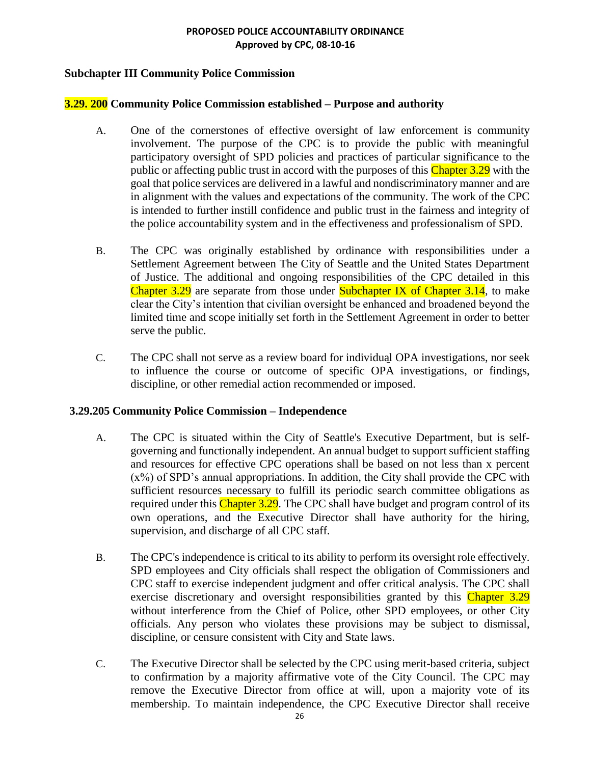## **Subchapter III Community Police Commission**

## **3.29. 200 Community Police Commission established – Purpose and authority**

- A. One of the cornerstones of effective oversight of law enforcement is community involvement. The purpose of the CPC is to provide the public with meaningful participatory oversight of SPD policies and practices of particular significance to the public or affecting public trust in accord with the purposes of this  $\overline{\text{Chapter 3.29}}$  with the goal that police services are delivered in a lawful and nondiscriminatory manner and are in alignment with the values and expectations of the community. The work of the CPC is intended to further instill confidence and public trust in the fairness and integrity of the police accountability system and in the effectiveness and professionalism of SPD.
- B. The CPC was originally established by ordinance with responsibilities under a Settlement Agreement between The City of Seattle and the United States Department of Justice. The additional and ongoing responsibilities of the CPC detailed in this Chapter 3.29 are separate from those under Subchapter IX of Chapter 3.14, to make clear the City's intention that civilian oversight be enhanced and broadened beyond the limited time and scope initially set forth in the Settlement Agreement in order to better serve the public.
- C. The CPC shall not serve as a review board for individual OPA investigations, nor seek to influence the course or outcome of specific OPA investigations, or findings, discipline, or other remedial action recommended or imposed.

## **3.29.205 Community Police Commission – Independence**

- A. The CPC is situated within the City of Seattle's Executive Department, but is selfgoverning and functionally independent. An annual budget to support sufficient staffing and resources for effective CPC operations shall be based on not less than x percent  $(x\%)$  of SPD's annual appropriations. In addition, the City shall provide the CPC with sufficient resources necessary to fulfill its periodic search committee obligations as required under this Chapter 3.29. The CPC shall have budget and program control of its own operations, and the Executive Director shall have authority for the hiring, supervision, and discharge of all CPC staff.
- B. The CPC's independence is critical to its ability to perform its oversight role effectively. SPD employees and City officials shall respect the obligation of Commissioners and CPC staff to exercise independent judgment and offer critical analysis. The CPC shall exercise discretionary and oversight responsibilities granted by this Chapter 3.29 without interference from the Chief of Police, other SPD employees, or other City officials. Any person who violates these provisions may be subject to dismissal, discipline, or censure consistent with City and State laws.
- C. The Executive Director shall be selected by the CPC using merit-based criteria, subject to confirmation by a majority affirmative vote of the City Council. The CPC may remove the Executive Director from office at will, upon a majority vote of its membership. To maintain independence, the CPC Executive Director shall receive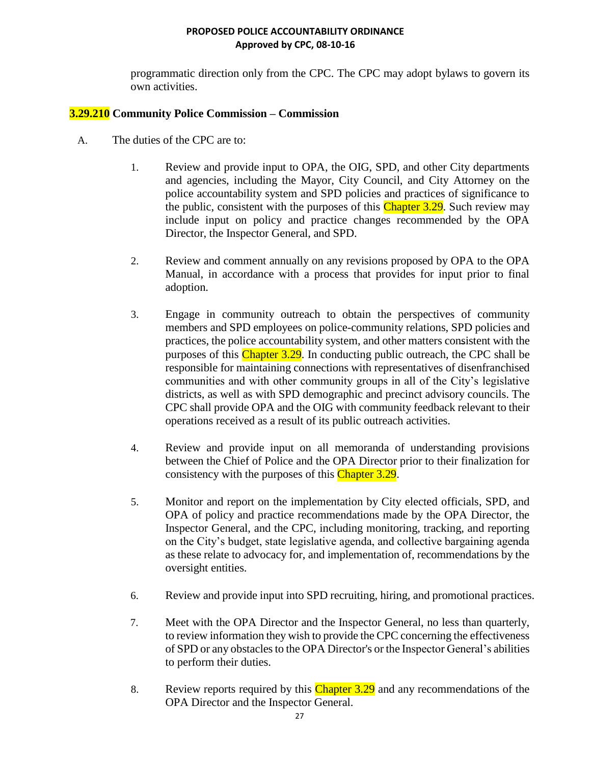programmatic direction only from the CPC. The CPC may adopt bylaws to govern its own activities.

## **3.29.210 Community Police Commission – Commission**

- A. The duties of the CPC are to:
	- 1. Review and provide input to OPA, the OIG, SPD, and other City departments and agencies, including the Mayor, City Council, and City Attorney on the police accountability system and SPD policies and practices of significance to the public, consistent with the purposes of this Chapter 3.29. Such review may include input on policy and practice changes recommended by the OPA Director, the Inspector General, and SPD.
	- 2. Review and comment annually on any revisions proposed by OPA to the OPA Manual, in accordance with a process that provides for input prior to final adoption.
	- 3. Engage in community outreach to obtain the perspectives of community members and SPD employees on police-community relations, SPD policies and practices, the police accountability system, and other matters consistent with the purposes of this Chapter 3.29. In conducting public outreach, the CPC shall be responsible for maintaining connections with representatives of disenfranchised communities and with other community groups in all of the City's legislative districts, as well as with SPD demographic and precinct advisory councils. The CPC shall provide OPA and the OIG with community feedback relevant to their operations received as a result of its public outreach activities.
	- 4. Review and provide input on all memoranda of understanding provisions between the Chief of Police and the OPA Director prior to their finalization for consistency with the purposes of this Chapter 3.29.
	- 5. Monitor and report on the implementation by City elected officials, SPD, and OPA of policy and practice recommendations made by the OPA Director, the Inspector General, and the CPC, including monitoring, tracking, and reporting on the City's budget, state legislative agenda, and collective bargaining agenda as these relate to advocacy for, and implementation of, recommendations by the oversight entities.
	- 6. Review and provide input into SPD recruiting, hiring, and promotional practices.
	- 7. Meet with the OPA Director and the Inspector General, no less than quarterly, to review information they wish to provide the CPC concerning the effectiveness of SPD or any obstacles to the OPA Director's or the Inspector General's abilities to perform their duties.
	- 8. Review reports required by this Chapter 3.29 and any recommendations of the OPA Director and the Inspector General.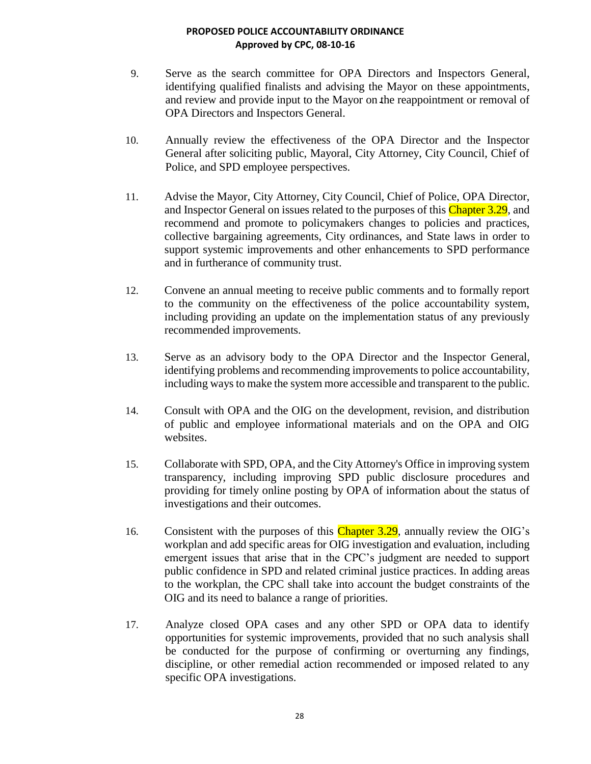- 9. Serve as the search committee for OPA Directors and Inspectors General, identifying qualified finalists and advising the Mayor on these appointments, and review and provide input to the Mayor on the reappointment or removal of OPA Directors and Inspectors General.
- 10. Annually review the effectiveness of the OPA Director and the Inspector General after soliciting public, Mayoral, City Attorney, City Council, Chief of Police, and SPD employee perspectives.
- 11. Advise the Mayor, City Attorney, City Council, Chief of Police, OPA Director, and Inspector General on issues related to the purposes of this Chapter 3.29, and recommend and promote to policymakers changes to policies and practices, collective bargaining agreements, City ordinances, and State laws in order to support systemic improvements and other enhancements to SPD performance and in furtherance of community trust.
- 12. Convene an annual meeting to receive public comments and to formally report to the community on the effectiveness of the police accountability system, including providing an update on the implementation status of any previously recommended improvements.
- 13. Serve as an advisory body to the OPA Director and the Inspector General, identifying problems and recommending improvements to police accountability, including ways to make the system more accessible and transparent to the public.
- 14. Consult with OPA and the OIG on the development, revision, and distribution of public and employee informational materials and on the OPA and OIG websites.
- 15. Collaborate with SPD, OPA, and the City Attorney's Office in improving system transparency, including improving SPD public disclosure procedures and providing for timely online posting by OPA of information about the status of investigations and their outcomes.
- 16. Consistent with the purposes of this Chapter 3.29, annually review the OIG's workplan and add specific areas for OIG investigation and evaluation, including emergent issues that arise that in the CPC's judgment are needed to support public confidence in SPD and related criminal justice practices. In adding areas to the workplan, the CPC shall take into account the budget constraints of the OIG and its need to balance a range of priorities.
- 17. Analyze closed OPA cases and any other SPD or OPA data to identify opportunities for systemic improvements, provided that no such analysis shall be conducted for the purpose of confirming or overturning any findings, discipline, or other remedial action recommended or imposed related to any specific OPA investigations.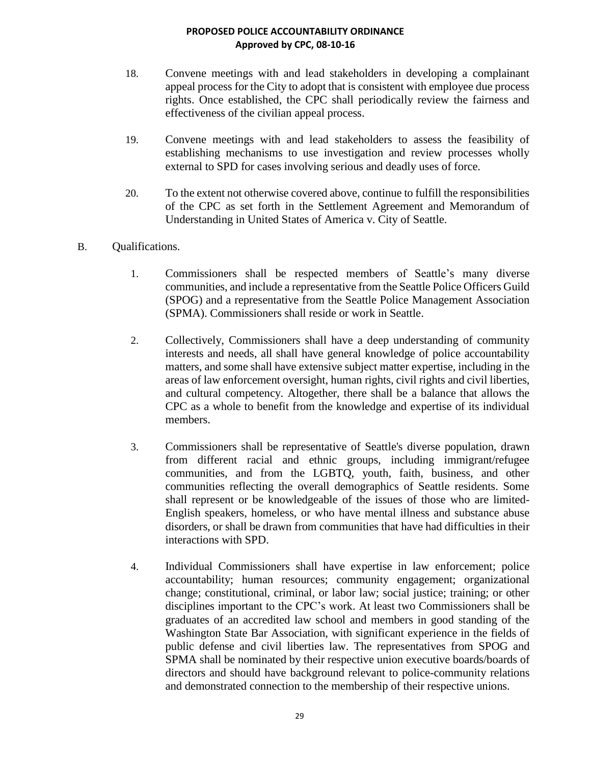- 18. Convene meetings with and lead stakeholders in developing a complainant appeal process for the City to adopt that is consistent with employee due process rights. Once established, the CPC shall periodically review the fairness and effectiveness of the civilian appeal process.
- 19. Convene meetings with and lead stakeholders to assess the feasibility of establishing mechanisms to use investigation and review processes wholly external to SPD for cases involving serious and deadly uses of force.
- 20. To the extent not otherwise covered above, continue to fulfill the responsibilities of the CPC as set forth in the Settlement Agreement and Memorandum of Understanding in United States of America v. City of Seattle.
- B. Qualifications.
	- 1. Commissioners shall be respected members of Seattle's many diverse communities, and include a representative from the Seattle Police Officers Guild (SPOG) and a representative from the Seattle Police Management Association (SPMA). Commissioners shall reside or work in Seattle.
	- 2. Collectively, Commissioners shall have a deep understanding of community interests and needs, all shall have general knowledge of police accountability matters, and some shall have extensive subject matter expertise, including in the areas of law enforcement oversight, human rights, civil rights and civil liberties, and cultural competency. Altogether, there shall be a balance that allows the CPC as a whole to benefit from the knowledge and expertise of its individual members.
	- 3. Commissioners shall be representative of Seattle's diverse population, drawn from different racial and ethnic groups, including immigrant/refugee communities, and from the LGBTQ, youth, faith, business, and other communities reflecting the overall demographics of Seattle residents. Some shall represent or be knowledgeable of the issues of those who are limited-English speakers, homeless, or who have mental illness and substance abuse disorders, or shall be drawn from communities that have had difficulties in their interactions with SPD.
	- 4. Individual Commissioners shall have expertise in law enforcement; police accountability; human resources; community engagement; organizational change; constitutional, criminal, or labor law; social justice; training; or other disciplines important to the CPC's work. At least two Commissioners shall be graduates of an accredited law school and members in good standing of the Washington State Bar Association, with significant experience in the fields of public defense and civil liberties law. The representatives from SPOG and SPMA shall be nominated by their respective union executive boards/boards of directors and should have background relevant to police-community relations and demonstrated connection to the membership of their respective unions.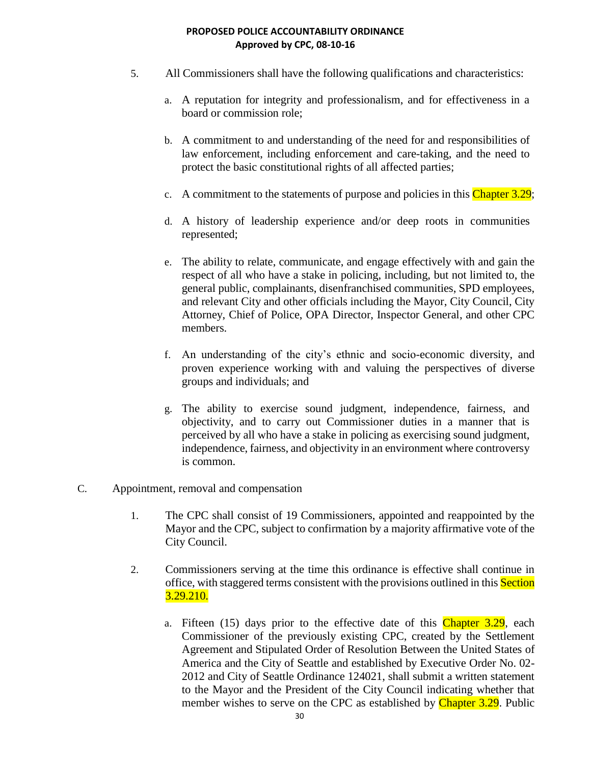- 5. All Commissioners shall have the following qualifications and characteristics:
	- a. A reputation for integrity and professionalism, and for effectiveness in a board or commission role;
	- b. A commitment to and understanding of the need for and responsibilities of law enforcement, including enforcement and care-taking, and the need to protect the basic constitutional rights of all affected parties;
	- c. A commitment to the statements of purpose and policies in this Chapter  $3.29$ ;
	- d. A history of leadership experience and/or deep roots in communities represented;
	- e. The ability to relate, communicate, and engage effectively with and gain the respect of all who have a stake in policing, including, but not limited to, the general public, complainants, disenfranchised communities, SPD employees, and relevant City and other officials including the Mayor, City Council, City Attorney, Chief of Police, OPA Director, Inspector General, and other CPC members.
	- f. An understanding of the city's ethnic and socio-economic diversity, and proven experience working with and valuing the perspectives of diverse groups and individuals; and
	- g. The ability to exercise sound judgment, independence, fairness, and objectivity, and to carry out Commissioner duties in a manner that is perceived by all who have a stake in policing as exercising sound judgment, independence, fairness, and objectivity in an environment where controversy is common.
- C. Appointment, removal and compensation
	- 1. The CPC shall consist of 19 Commissioners, appointed and reappointed by the Mayor and the CPC, subject to confirmation by a majority affirmative vote of the City Council.
	- 2. Commissioners serving at the time this ordinance is effective shall continue in office, with staggered terms consistent with the provisions outlined in this Section 3.29.210.
		- a. Fifteen  $(15)$  days prior to the effective date of this Chapter 3.29, each Commissioner of the previously existing CPC, created by the Settlement Agreement and Stipulated Order of Resolution Between the United States of America and the City of Seattle and established by Executive Order No. 02- 2012 and City of Seattle Ordinance 124021, shall submit a written statement to the Mayor and the President of the City Council indicating whether that member wishes to serve on the CPC as established by Chapter 3.29. Public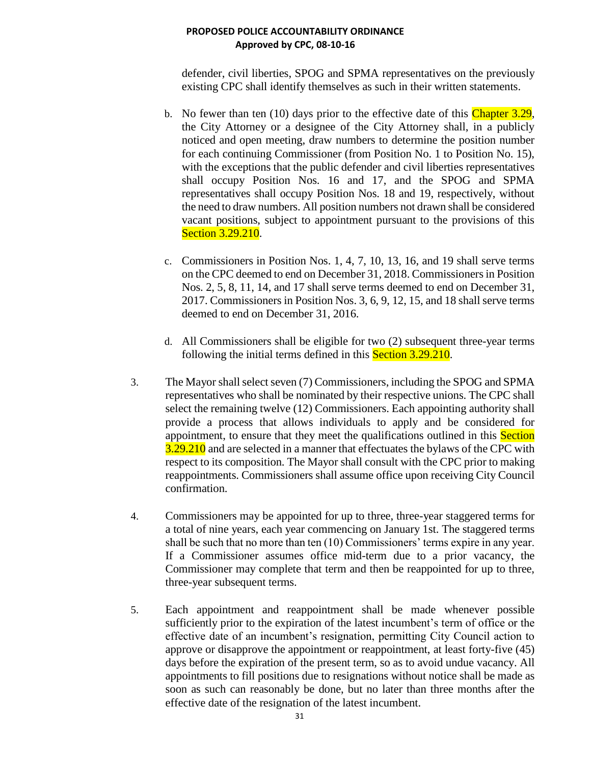defender, civil liberties, SPOG and SPMA representatives on the previously existing CPC shall identify themselves as such in their written statements.

- b. No fewer than ten  $(10)$  days prior to the effective date of this Chapter 3.29, the City Attorney or a designee of the City Attorney shall, in a publicly noticed and open meeting, draw numbers to determine the position number for each continuing Commissioner (from Position No. 1 to Position No. 15), with the exceptions that the public defender and civil liberties representatives shall occupy Position Nos. 16 and 17, and the SPOG and SPMA representatives shall occupy Position Nos. 18 and 19, respectively, without the need to draw numbers. All position numbers not drawn shall be considered vacant positions, subject to appointment pursuant to the provisions of this **Section 3.29.210.**
- c. Commissioners in Position Nos. 1, 4, 7, 10, 13, 16, and 19 shall serve terms on the CPC deemed to end on December 31, 2018. Commissioners in Position Nos. 2, 5, 8, 11, 14, and 17 shall serve terms deemed to end on December 31, 2017. Commissioners in Position Nos. 3, 6, 9, 12, 15, and 18 shall serve terms deemed to end on December 31, 2016.
- d. All Commissioners shall be eligible for two (2) subsequent three-year terms following the initial terms defined in this **Section 3.29.210**.
- 3. The Mayor shall select seven (7) Commissioners, including the SPOG and SPMA representatives who shall be nominated by their respective unions. The CPC shall select the remaining twelve (12) Commissioners. Each appointing authority shall provide a process that allows individuals to apply and be considered for appointment, to ensure that they meet the qualifications outlined in this Section 3.29.210 and are selected in a manner that effectuates the bylaws of the CPC with respect to its composition. The Mayor shall consult with the CPC prior to making reappointments. Commissioners shall assume office upon receiving City Council confirmation.
- 4. Commissioners may be appointed for up to three, three-year staggered terms for a total of nine years, each year commencing on January 1st. The staggered terms shall be such that no more than ten (10) Commissioners' terms expire in any year. If a Commissioner assumes office mid-term due to a prior vacancy, the Commissioner may complete that term and then be reappointed for up to three, three-year subsequent terms.
- 5. Each appointment and reappointment shall be made whenever possible sufficiently prior to the expiration of the latest incumbent's term of office or the effective date of an incumbent's resignation, permitting City Council action to approve or disapprove the appointment or reappointment, at least forty-five (45) days before the expiration of the present term, so as to avoid undue vacancy. All appointments to fill positions due to resignations without notice shall be made as soon as such can reasonably be done, but no later than three months after the effective date of the resignation of the latest incumbent.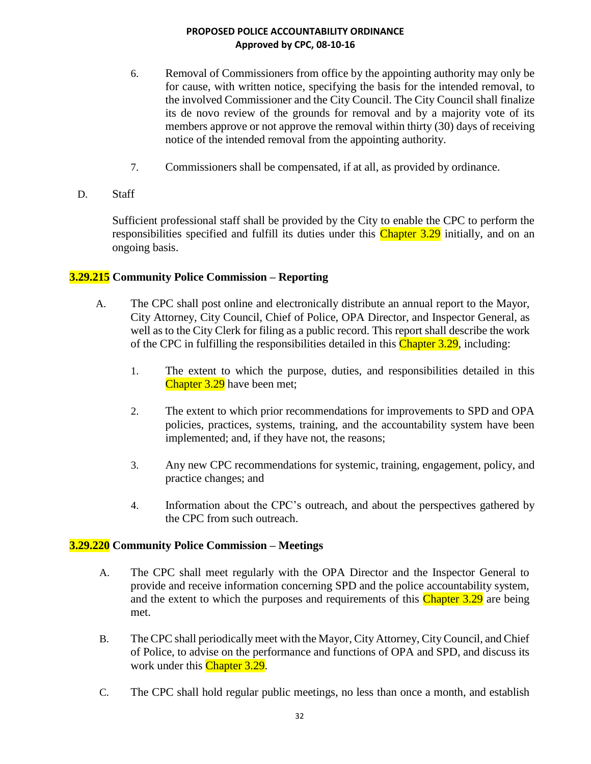- 6. Removal of Commissioners from office by the appointing authority may only be for cause, with written notice, specifying the basis for the intended removal, to the involved Commissioner and the City Council. The City Council shall finalize its de novo review of the grounds for removal and by a majority vote of its members approve or not approve the removal within thirty (30) days of receiving notice of the intended removal from the appointing authority.
- 7. Commissioners shall be compensated, if at all, as provided by ordinance.
- D. Staff

Sufficient professional staff shall be provided by the City to enable the CPC to perform the responsibilities specified and fulfill its duties under this Chapter 3.29 initially, and on an ongoing basis.

## **3.29.215 Community Police Commission – Reporting**

- A. The CPC shall post online and electronically distribute an annual report to the Mayor, City Attorney, City Council, Chief of Police, OPA Director, and Inspector General, as well as to the City Clerk for filing as a public record. This report shall describe the work of the CPC in fulfilling the responsibilities detailed in this Chapter 3.29, including:
	- 1. The extent to which the purpose, duties, and responsibilities detailed in this Chapter 3.29 have been met;
	- 2. The extent to which prior recommendations for improvements to SPD and OPA policies, practices, systems, training, and the accountability system have been implemented; and, if they have not, the reasons;
	- 3. Any new CPC recommendations for systemic, training, engagement, policy, and practice changes; and
	- 4. Information about the CPC's outreach, and about the perspectives gathered by the CPC from such outreach.

## **3.29.220 Community Police Commission – Meetings**

- A. The CPC shall meet regularly with the OPA Director and the Inspector General to provide and receive information concerning SPD and the police accountability system, and the extent to which the purposes and requirements of this Chapter 3.29 are being met.
- B. The CPC shall periodically meet with the Mayor, City Attorney, City Council, and Chief of Police, to advise on the performance and functions of OPA and SPD, and discuss its work under this Chapter 3.29.
- C. The CPC shall hold regular public meetings, no less than once a month, and establish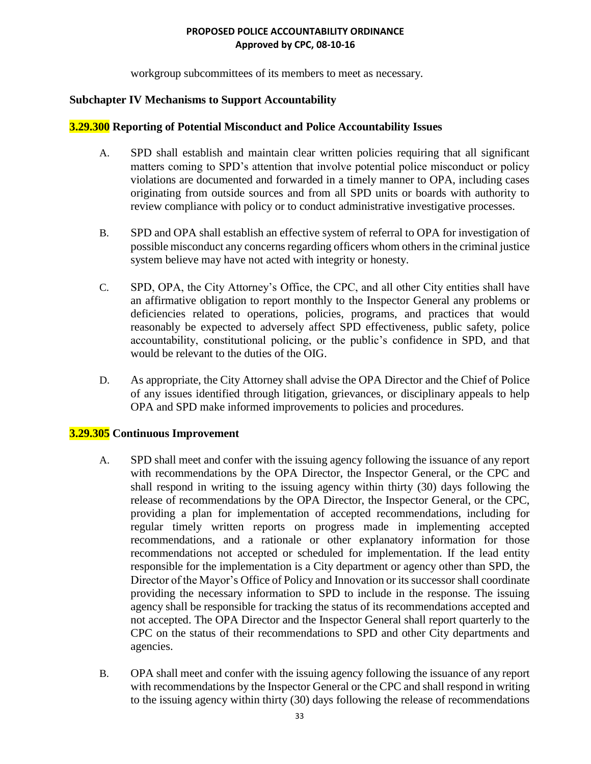workgroup subcommittees of its members to meet as necessary.

## **Subchapter IV Mechanisms to Support Accountability**

#### **3.29.300 Reporting of Potential Misconduct and Police Accountability Issues**

- A. SPD shall establish and maintain clear written policies requiring that all significant matters coming to SPD's attention that involve potential police misconduct or policy violations are documented and forwarded in a timely manner to OPA, including cases originating from outside sources and from all SPD units or boards with authority to review compliance with policy or to conduct administrative investigative processes.
- B. SPD and OPA shall establish an effective system of referral to OPA for investigation of possible misconduct any concerns regarding officers whom others in the criminal justice system believe may have not acted with integrity or honesty.
- C. SPD, OPA, the City Attorney's Office, the CPC, and all other City entities shall have an affirmative obligation to report monthly to the Inspector General any problems or deficiencies related to operations, policies, programs, and practices that would reasonably be expected to adversely affect SPD effectiveness, public safety, police accountability, constitutional policing, or the public's confidence in SPD, and that would be relevant to the duties of the OIG.
- D. As appropriate, the City Attorney shall advise the OPA Director and the Chief of Police of any issues identified through litigation, grievances, or disciplinary appeals to help OPA and SPD make informed improvements to policies and procedures.

## **3.29.305 Continuous Improvement**

- A. SPD shall meet and confer with the issuing agency following the issuance of any report with recommendations by the OPA Director, the Inspector General, or the CPC and shall respond in writing to the issuing agency within thirty (30) days following the release of recommendations by the OPA Director, the Inspector General, or the CPC, providing a plan for implementation of accepted recommendations, including for regular timely written reports on progress made in implementing accepted recommendations, and a rationale or other explanatory information for those recommendations not accepted or scheduled for implementation. If the lead entity responsible for the implementation is a City department or agency other than SPD, the Director of the Mayor's Office of Policy and Innovation or its successor shall coordinate providing the necessary information to SPD to include in the response. The issuing agency shall be responsible for tracking the status of its recommendations accepted and not accepted. The OPA Director and the Inspector General shall report quarterly to the CPC on the status of their recommendations to SPD and other City departments and agencies.
- B. OPA shall meet and confer with the issuing agency following the issuance of any report with recommendations by the Inspector General or the CPC and shall respond in writing to the issuing agency within thirty (30) days following the release of recommendations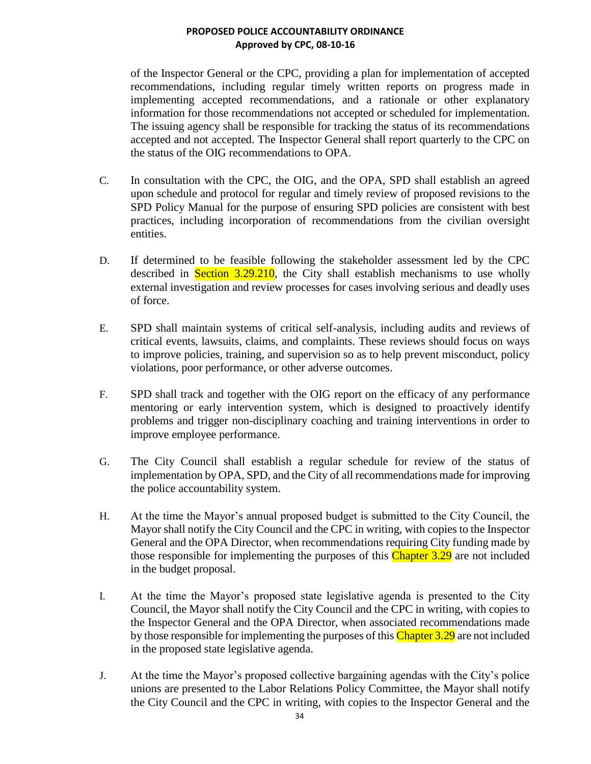of the Inspector General or the CPC, providing a plan for implementation of accepted recommendations, including regular timely written reports on progress made in implementing accepted recommendations, and a rationale or other explanatory information for those recommendations not accepted or scheduled for implementation. The issuing agency shall be responsible for tracking the status of its recommendations accepted and not accepted. The Inspector General shall report quarterly to the CPC on the status of the OIG recommendations to OPA.

- C. In consultation with the CPC, the OIG, and the OPA, SPD shall establish an agreed upon schedule and protocol for regular and timely review of proposed revisions to the SPD Policy Manual for the purpose of ensuring SPD policies are consistent with best practices, including incorporation of recommendations from the civilian oversight entities.
- D. If determined to be feasible following the stakeholder assessment led by the CPC described in **Section 3.29.210**, the City shall establish mechanisms to use wholly external investigation and review processes for cases involving serious and deadly uses of force.
- E. SPD shall maintain systems of critical self-analysis, including audits and reviews of critical events, lawsuits, claims, and complaints. These reviews should focus on ways to improve policies, training, and supervision so as to help prevent misconduct, policy violations, poor performance, or other adverse outcomes.
- F. SPD shall track and together with the OIG report on the efficacy of any performance mentoring or early intervention system, which is designed to proactively identify problems and trigger non-disciplinary coaching and training interventions in order to improve employee performance.
- G. The City Council shall establish a regular schedule for review of the status of implementation by OPA, SPD, and the City of all recommendations made for improving the police accountability system.
- H. At the time the Mayor's annual proposed budget is submitted to the City Council, the Mayor shall notify the City Council and the CPC in writing, with copies to the Inspector General and the OPA Director, when recommendations requiring City funding made by those responsible for implementing the purposes of this Chapter 3.29 are not included in the budget proposal.
- I. At the time the Mayor's proposed state legislative agenda is presented to the City Council, the Mayor shall notify the City Council and the CPC in writing, with copies to the Inspector General and the OPA Director, when associated recommendations made by those responsible for implementing the purposes of this Chapter 3.29 are not included in the proposed state legislative agenda.
- J. At the time the Mayor's proposed collective bargaining agendas with the City's police unions are presented to the Labor Relations Policy Committee, the Mayor shall notify the City Council and the CPC in writing, with copies to the Inspector General and the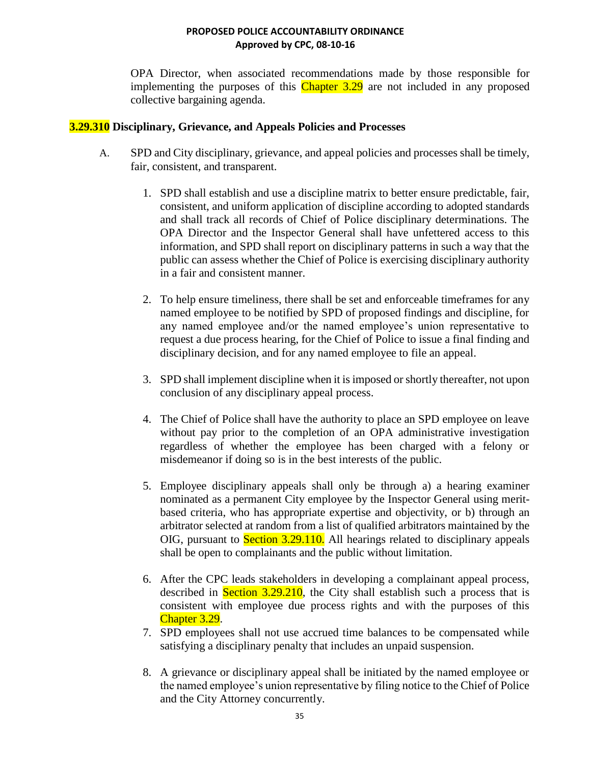OPA Director, when associated recommendations made by those responsible for implementing the purposes of this  $\overline{\text{Chapter 3.29}}$  are not included in any proposed collective bargaining agenda.

## **3.29.310 Disciplinary, Grievance, and Appeals Policies and Processes**

- A. SPD and City disciplinary, grievance, and appeal policies and processes shall be timely, fair, consistent, and transparent.
	- 1. SPD shall establish and use a discipline matrix to better ensure predictable, fair, consistent, and uniform application of discipline according to adopted standards and shall track all records of Chief of Police disciplinary determinations. The OPA Director and the Inspector General shall have unfettered access to this information, and SPD shall report on disciplinary patterns in such a way that the public can assess whether the Chief of Police is exercising disciplinary authority in a fair and consistent manner.
	- 2. To help ensure timeliness, there shall be set and enforceable timeframes for any named employee to be notified by SPD of proposed findings and discipline, for any named employee and/or the named employee's union representative to request a due process hearing, for the Chief of Police to issue a final finding and disciplinary decision, and for any named employee to file an appeal.
	- 3. SPD shall implement discipline when it is imposed or shortly thereafter, not upon conclusion of any disciplinary appeal process.
	- 4. The Chief of Police shall have the authority to place an SPD employee on leave without pay prior to the completion of an OPA administrative investigation regardless of whether the employee has been charged with a felony or misdemeanor if doing so is in the best interests of the public.
	- 5. Employee disciplinary appeals shall only be through a) a hearing examiner nominated as a permanent City employee by the Inspector General using meritbased criteria, who has appropriate expertise and objectivity, or b) through an arbitrator selected at random from a list of qualified arbitrators maintained by the OIG, pursuant to Section 3.29.110. All hearings related to disciplinary appeals shall be open to complainants and the public without limitation.
	- 6. After the CPC leads stakeholders in developing a complainant appeal process, described in **Section 3.29.210**, the City shall establish such a process that is consistent with employee due process rights and with the purposes of this Chapter 3.29.
	- 7. SPD employees shall not use accrued time balances to be compensated while satisfying a disciplinary penalty that includes an unpaid suspension.
	- 8. A grievance or disciplinary appeal shall be initiated by the named employee or the named employee's union representative by filing notice to the Chief of Police and the City Attorney concurrently.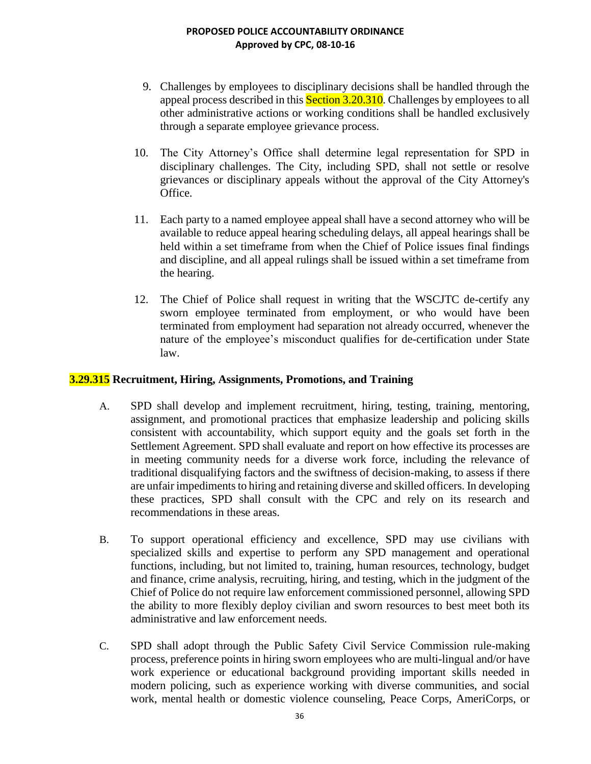- 9. Challenges by employees to disciplinary decisions shall be handled through the appeal process described in this **Section 3.20.310**. Challenges by employees to all other administrative actions or working conditions shall be handled exclusively through a separate employee grievance process.
- 10. The City Attorney's Office shall determine legal representation for SPD in disciplinary challenges. The City, including SPD, shall not settle or resolve grievances or disciplinary appeals without the approval of the City Attorney's Office.
- 11. Each party to a named employee appeal shall have a second attorney who will be available to reduce appeal hearing scheduling delays, all appeal hearings shall be held within a set timeframe from when the Chief of Police issues final findings and discipline, and all appeal rulings shall be issued within a set timeframe from the hearing.
- 12. The Chief of Police shall request in writing that the WSCJTC de-certify any sworn employee terminated from employment, or who would have been terminated from employment had separation not already occurred, whenever the nature of the employee's misconduct qualifies for de-certification under State law.

## **3.29.315 Recruitment, Hiring, Assignments, Promotions, and Training**

- A. SPD shall develop and implement recruitment, hiring, testing, training, mentoring, assignment, and promotional practices that emphasize leadership and policing skills consistent with accountability, which support equity and the goals set forth in the Settlement Agreement. SPD shall evaluate and report on how effective its processes are in meeting community needs for a diverse work force, including the relevance of traditional disqualifying factors and the swiftness of decision-making, to assess if there are unfair impediments to hiring and retaining diverse and skilled officers. In developing these practices, SPD shall consult with the CPC and rely on its research and recommendations in these areas.
- B. To support operational efficiency and excellence, SPD may use civilians with specialized skills and expertise to perform any SPD management and operational functions, including, but not limited to, training, human resources, technology, budget and finance, crime analysis, recruiting, hiring, and testing, which in the judgment of the Chief of Police do not require law enforcement commissioned personnel, allowing SPD the ability to more flexibly deploy civilian and sworn resources to best meet both its administrative and law enforcement needs.
- C. SPD shall adopt through the Public Safety Civil Service Commission rule-making process, preference points in hiring sworn employees who are multi-lingual and/or have work experience or educational background providing important skills needed in modern policing, such as experience working with diverse communities, and social work, mental health or domestic violence counseling, Peace Corps, AmeriCorps, or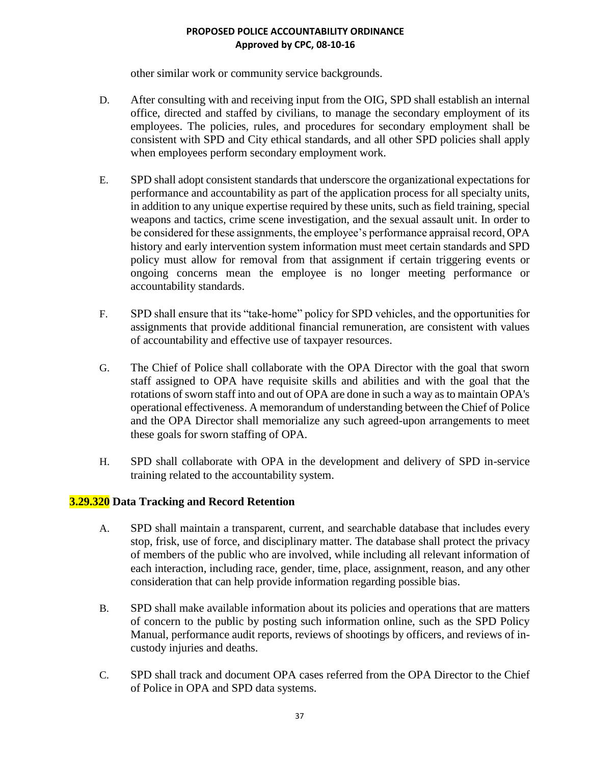other similar work or community service backgrounds.

- D. After consulting with and receiving input from the OIG, SPD shall establish an internal office, directed and staffed by civilians, to manage the secondary employment of its employees. The policies, rules, and procedures for secondary employment shall be consistent with SPD and City ethical standards, and all other SPD policies shall apply when employees perform secondary employment work.
- E. SPD shall adopt consistent standards that underscore the organizational expectations for performance and accountability as part of the application process for all specialty units, in addition to any unique expertise required by these units, such as field training, special weapons and tactics, crime scene investigation, and the sexual assault unit. In order to be considered for these assignments, the employee's performance appraisal record, OPA history and early intervention system information must meet certain standards and SPD policy must allow for removal from that assignment if certain triggering events or ongoing concerns mean the employee is no longer meeting performance or accountability standards.
- F. SPD shall ensure that its "take-home" policy for SPD vehicles, and the opportunities for assignments that provide additional financial remuneration, are consistent with values of accountability and effective use of taxpayer resources.
- G. The Chief of Police shall collaborate with the OPA Director with the goal that sworn staff assigned to OPA have requisite skills and abilities and with the goal that the rotations of sworn staff into and out of OPA are done in such a way as to maintain OPA's operational effectiveness. A memorandum of understanding between the Chief of Police and the OPA Director shall memorialize any such agreed-upon arrangements to meet these goals for sworn staffing of OPA.
- H. SPD shall collaborate with OPA in the development and delivery of SPD in-service training related to the accountability system.

## **3.29.320 Data Tracking and Record Retention**

- A. SPD shall maintain a transparent, current, and searchable database that includes every stop, frisk, use of force, and disciplinary matter. The database shall protect the privacy of members of the public who are involved, while including all relevant information of each interaction, including race, gender, time, place, assignment, reason, and any other consideration that can help provide information regarding possible bias.
- B. SPD shall make available information about its policies and operations that are matters of concern to the public by posting such information online, such as the SPD Policy Manual, performance audit reports, reviews of shootings by officers, and reviews of incustody injuries and deaths.
- C. SPD shall track and document OPA cases referred from the OPA Director to the Chief of Police in OPA and SPD data systems.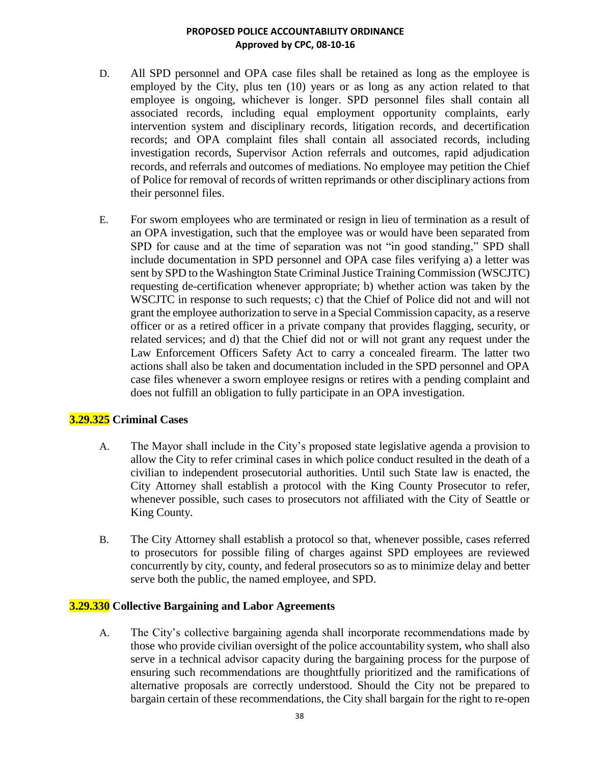- D. All SPD personnel and OPA case files shall be retained as long as the employee is employed by the City, plus ten (10) years or as long as any action related to that employee is ongoing, whichever is longer. SPD personnel files shall contain all associated records, including equal employment opportunity complaints, early intervention system and disciplinary records, litigation records, and decertification records; and OPA complaint files shall contain all associated records, including investigation records, Supervisor Action referrals and outcomes, rapid adjudication records, and referrals and outcomes of mediations. No employee may petition the Chief of Police for removal of records of written reprimands or other disciplinary actions from their personnel files.
- E. For sworn employees who are terminated or resign in lieu of termination as a result of an OPA investigation, such that the employee was or would have been separated from SPD for cause and at the time of separation was not "in good standing," SPD shall include documentation in SPD personnel and OPA case files verifying a) a letter was sent by SPD to the Washington State Criminal Justice Training Commission (WSCJTC) requesting de-certification whenever appropriate; b) whether action was taken by the WSCJTC in response to such requests; c) that the Chief of Police did not and will not grant the employee authorization to serve in a Special Commission capacity, as a reserve officer or as a retired officer in a private company that provides flagging, security, or related services; and d) that the Chief did not or will not grant any request under the Law Enforcement Officers Safety Act to carry a concealed firearm. The latter two actions shall also be taken and documentation included in the SPD personnel and OPA case files whenever a sworn employee resigns or retires with a pending complaint and does not fulfill an obligation to fully participate in an OPA investigation.

## **3.29.325 Criminal Cases**

- A. The Mayor shall include in the City's proposed state legislative agenda a provision to allow the City to refer criminal cases in which police conduct resulted in the death of a civilian to independent prosecutorial authorities. Until such State law is enacted, the City Attorney shall establish a protocol with the King County Prosecutor to refer, whenever possible, such cases to prosecutors not affiliated with the City of Seattle or King County.
- B. The City Attorney shall establish a protocol so that, whenever possible, cases referred to prosecutors for possible filing of charges against SPD employees are reviewed concurrently by city, county, and federal prosecutors so as to minimize delay and better serve both the public, the named employee, and SPD.

## **3.29.330 Collective Bargaining and Labor Agreements**

A. The City's collective bargaining agenda shall incorporate recommendations made by those who provide civilian oversight of the police accountability system, who shall also serve in a technical advisor capacity during the bargaining process for the purpose of ensuring such recommendations are thoughtfully prioritized and the ramifications of alternative proposals are correctly understood. Should the City not be prepared to bargain certain of these recommendations, the City shall bargain for the right to re-open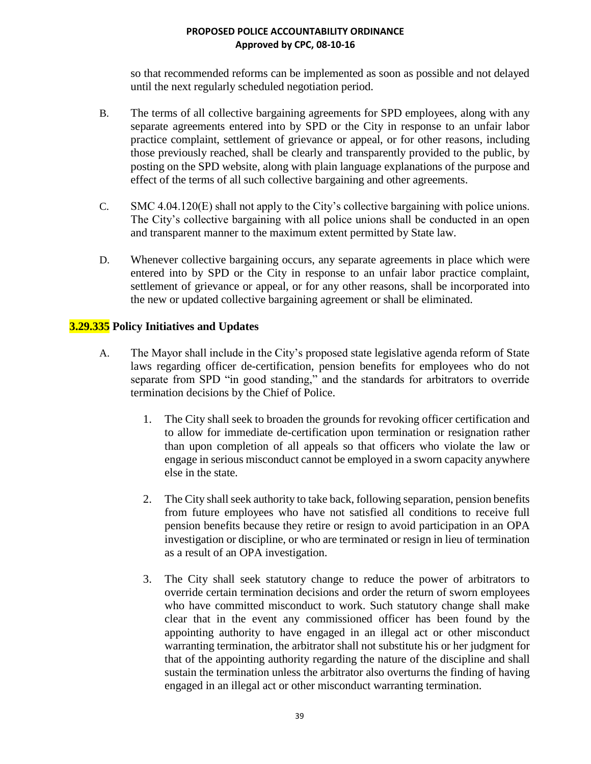so that recommended reforms can be implemented as soon as possible and not delayed until the next regularly scheduled negotiation period.

- B. The terms of all collective bargaining agreements for SPD employees, along with any separate agreements entered into by SPD or the City in response to an unfair labor practice complaint, settlement of grievance or appeal, or for other reasons, including those previously reached, shall be clearly and transparently provided to the public, by posting on the SPD website, along with plain language explanations of the purpose and effect of the terms of all such collective bargaining and other agreements.
- C. SMC 4.04.120(E) shall not apply to the City's collective bargaining with police unions. The City's collective bargaining with all police unions shall be conducted in an open and transparent manner to the maximum extent permitted by State law.
- D. Whenever collective bargaining occurs, any separate agreements in place which were entered into by SPD or the City in response to an unfair labor practice complaint, settlement of grievance or appeal, or for any other reasons, shall be incorporated into the new or updated collective bargaining agreement or shall be eliminated.

## **3.29.335 Policy Initiatives and Updates**

- A. The Mayor shall include in the City's proposed state legislative agenda reform of State laws regarding officer de-certification, pension benefits for employees who do not separate from SPD "in good standing," and the standards for arbitrators to override termination decisions by the Chief of Police.
	- 1. The City shall seek to broaden the grounds for revoking officer certification and to allow for immediate de-certification upon termination or resignation rather than upon completion of all appeals so that officers who violate the law or engage in serious misconduct cannot be employed in a sworn capacity anywhere else in the state.
	- 2. The City shall seek authority to take back, following separation, pension benefits from future employees who have not satisfied all conditions to receive full pension benefits because they retire or resign to avoid participation in an OPA investigation or discipline, or who are terminated or resign in lieu of termination as a result of an OPA investigation.
	- 3. The City shall seek statutory change to reduce the power of arbitrators to override certain termination decisions and order the return of sworn employees who have committed misconduct to work. Such statutory change shall make clear that in the event any commissioned officer has been found by the appointing authority to have engaged in an illegal act or other misconduct warranting termination, the arbitrator shall not substitute his or her judgment for that of the appointing authority regarding the nature of the discipline and shall sustain the termination unless the arbitrator also overturns the finding of having engaged in an illegal act or other misconduct warranting termination.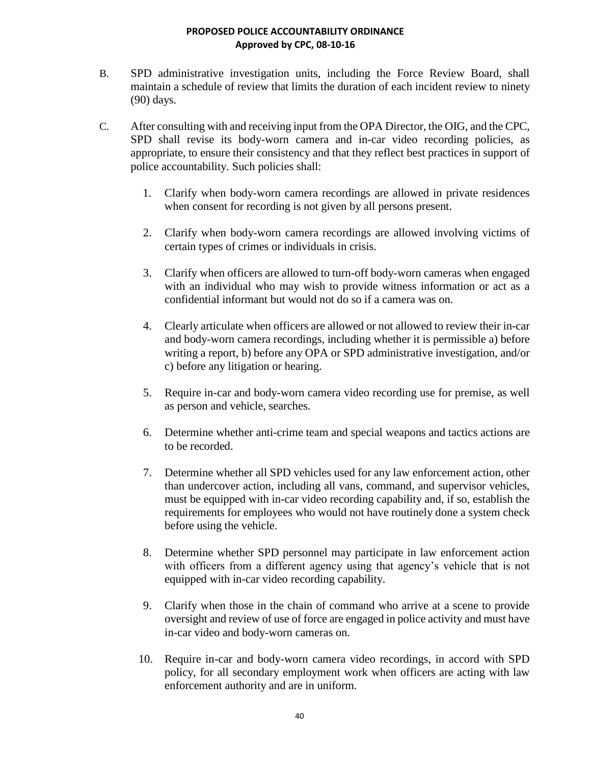- B. SPD administrative investigation units, including the Force Review Board, shall maintain a schedule of review that limits the duration of each incident review to ninety (90) days.
- C. After consulting with and receiving input from the OPA Director, the OIG, and the CPC, SPD shall revise its body-worn camera and in-car video recording policies, as appropriate, to ensure their consistency and that they reflect best practices in support of police accountability. Such policies shall:
	- 1. Clarify when body-worn camera recordings are allowed in private residences when consent for recording is not given by all persons present.
	- 2. Clarify when body-worn camera recordings are allowed involving victims of certain types of crimes or individuals in crisis.
	- 3. Clarify when officers are allowed to turn-off body-worn cameras when engaged with an individual who may wish to provide witness information or act as a confidential informant but would not do so if a camera was on.
	- 4. Clearly articulate when officers are allowed or not allowed to review their in-car and body-worn camera recordings, including whether it is permissible a) before writing a report, b) before any OPA or SPD administrative investigation, and/or c) before any litigation or hearing.
	- 5. Require in-car and body-worn camera video recording use for premise, as well as person and vehicle, searches.
	- 6. Determine whether anti-crime team and special weapons and tactics actions are to be recorded.
	- 7. Determine whether all SPD vehicles used for any law enforcement action, other than undercover action, including all vans, command, and supervisor vehicles, must be equipped with in-car video recording capability and, if so, establish the requirements for employees who would not have routinely done a system check before using the vehicle.
	- 8. Determine whether SPD personnel may participate in law enforcement action with officers from a different agency using that agency's vehicle that is not equipped with in-car video recording capability.
	- 9. Clarify when those in the chain of command who arrive at a scene to provide oversight and review of use of force are engaged in police activity and must have in-car video and body-worn cameras on.
	- 10. Require in-car and body-worn camera video recordings, in accord with SPD policy, for all secondary employment work when officers are acting with law enforcement authority and are in uniform.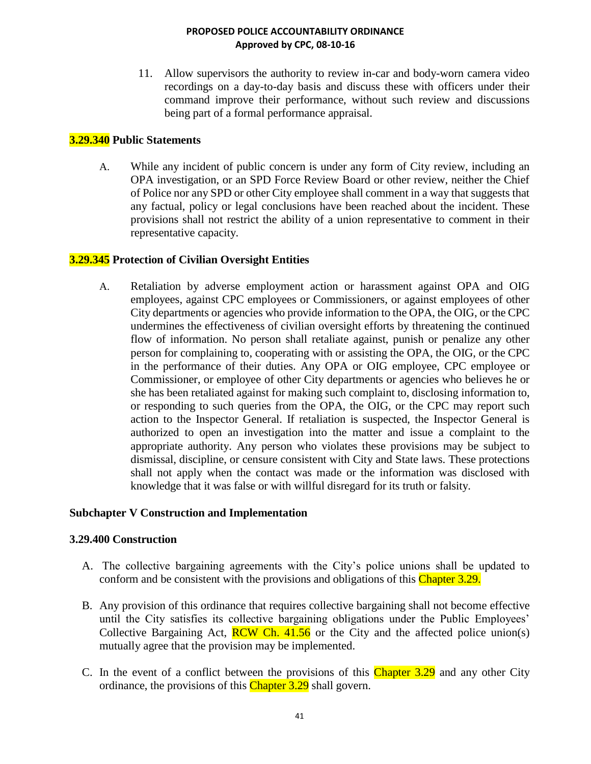11. Allow supervisors the authority to review in-car and body-worn camera video recordings on a day-to-day basis and discuss these with officers under their command improve their performance, without such review and discussions being part of a formal performance appraisal.

# **3.29.340 Public Statements**

A. While any incident of public concern is under any form of City review, including an OPA investigation, or an SPD Force Review Board or other review, neither the Chief of Police nor any SPD or other City employee shall comment in a way that suggests that any factual, policy or legal conclusions have been reached about the incident. These provisions shall not restrict the ability of a union representative to comment in their representative capacity.

## **3.29.345 Protection of Civilian Oversight Entities**

A. Retaliation by adverse employment action or harassment against OPA and OIG employees, against CPC employees or Commissioners, or against employees of other City departments or agencies who provide information to the OPA, the OIG, or the CPC undermines the effectiveness of civilian oversight efforts by threatening the continued flow of information. No person shall retaliate against, punish or penalize any other person for complaining to, cooperating with or assisting the OPA, the OIG, or the CPC in the performance of their duties. Any OPA or OIG employee, CPC employee or Commissioner, or employee of other City departments or agencies who believes he or she has been retaliated against for making such complaint to, disclosing information to, or responding to such queries from the OPA, the OIG, or the CPC may report such action to the Inspector General. If retaliation is suspected, the Inspector General is authorized to open an investigation into the matter and issue a complaint to the appropriate authority. Any person who violates these provisions may be subject to dismissal, discipline, or censure consistent with City and State laws. These protections shall not apply when the contact was made or the information was disclosed with knowledge that it was false or with willful disregard for its truth or falsity.

## **Subchapter V Construction and Implementation**

## **3.29.400 Construction**

- A. The collective bargaining agreements with the City's police unions shall be updated to conform and be consistent with the provisions and obligations of this Chapter 3.29.
- B. Any provision of this ordinance that requires collective bargaining shall not become effective until the City satisfies its collective bargaining obligations under the Public Employees' Collective Bargaining Act,  $RCW Ch. 41.56$  or the City and the affected police union(s) mutually agree that the provision may be implemented.
- C. In the event of a conflict between the provisions of this Chapter 3.29 and any other City ordinance, the provisions of this Chapter 3.29 shall govern.